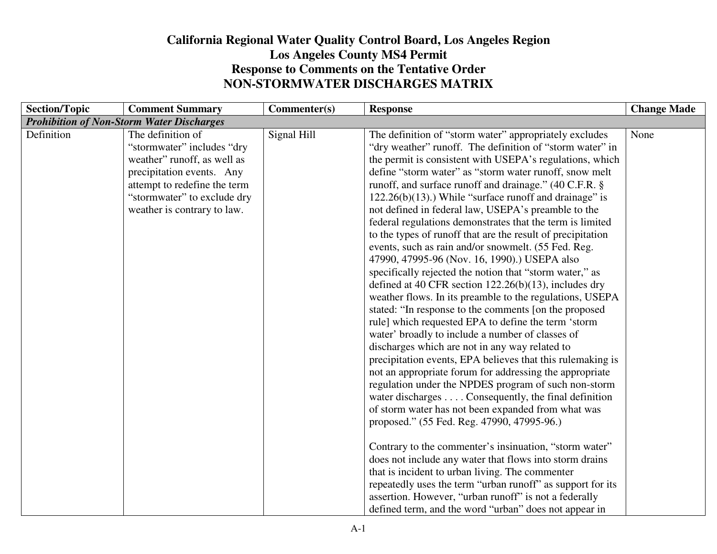## **California Regional Water Quality Control Board, Los Angeles RegionLos Angeles County MS4 Permit Response to Comments on the Tentative OrderNON-STORMWATER DISCHARGES MATRIX**

| <b>Section/Topic</b> | <b>Comment Summary</b>                                                                                                                                                                                    | Commenter(s) | <b>Response</b>                                                                                                                                                                                                                                                                                                                                                                                                                                                                                                                                                                                                                                                                                                                                                                                                                                                                                                                                                                                                                                                                                                                                                                                                                                                                                                                                                                                                                                                          | <b>Change Made</b> |
|----------------------|-----------------------------------------------------------------------------------------------------------------------------------------------------------------------------------------------------------|--------------|--------------------------------------------------------------------------------------------------------------------------------------------------------------------------------------------------------------------------------------------------------------------------------------------------------------------------------------------------------------------------------------------------------------------------------------------------------------------------------------------------------------------------------------------------------------------------------------------------------------------------------------------------------------------------------------------------------------------------------------------------------------------------------------------------------------------------------------------------------------------------------------------------------------------------------------------------------------------------------------------------------------------------------------------------------------------------------------------------------------------------------------------------------------------------------------------------------------------------------------------------------------------------------------------------------------------------------------------------------------------------------------------------------------------------------------------------------------------------|--------------------|
|                      | <b>Prohibition of Non-Storm Water Discharges</b>                                                                                                                                                          |              |                                                                                                                                                                                                                                                                                                                                                                                                                                                                                                                                                                                                                                                                                                                                                                                                                                                                                                                                                                                                                                                                                                                                                                                                                                                                                                                                                                                                                                                                          |                    |
| Definition           | The definition of<br>"stormwater" includes "dry<br>weather" runoff, as well as<br>precipitation events. Any<br>attempt to redefine the term<br>"stormwater" to exclude dry<br>weather is contrary to law. | Signal Hill  | The definition of "storm water" appropriately excludes<br>"dry weather" runoff. The definition of "storm water" in<br>the permit is consistent with USEPA's regulations, which<br>define "storm water" as "storm water runoff, snow melt<br>runoff, and surface runoff and drainage." (40 C.F.R. §<br>$122.26(b)(13)$ .) While "surface runoff and drainage" is<br>not defined in federal law, USEPA's preamble to the<br>federal regulations demonstrates that the term is limited<br>to the types of runoff that are the result of precipitation<br>events, such as rain and/or snowmelt. (55 Fed. Reg.<br>47990, 47995-96 (Nov. 16, 1990).) USEPA also<br>specifically rejected the notion that "storm water," as<br>defined at 40 CFR section $122.26(b)(13)$ , includes dry<br>weather flows. In its preamble to the regulations, USEPA<br>stated: "In response to the comments [on the proposed<br>rule] which requested EPA to define the term 'storm<br>water' broadly to include a number of classes of<br>discharges which are not in any way related to<br>precipitation events, EPA believes that this rulemaking is<br>not an appropriate forum for addressing the appropriate<br>regulation under the NPDES program of such non-storm<br>water discharges Consequently, the final definition<br>of storm water has not been expanded from what was<br>proposed." (55 Fed. Reg. 47990, 47995-96.)<br>Contrary to the commenter's insinuation, "storm water" | None               |
|                      |                                                                                                                                                                                                           |              | does not include any water that flows into storm drains                                                                                                                                                                                                                                                                                                                                                                                                                                                                                                                                                                                                                                                                                                                                                                                                                                                                                                                                                                                                                                                                                                                                                                                                                                                                                                                                                                                                                  |                    |
|                      |                                                                                                                                                                                                           |              | that is incident to urban living. The commenter                                                                                                                                                                                                                                                                                                                                                                                                                                                                                                                                                                                                                                                                                                                                                                                                                                                                                                                                                                                                                                                                                                                                                                                                                                                                                                                                                                                                                          |                    |
|                      |                                                                                                                                                                                                           |              | repeatedly uses the term "urban runoff" as support for its                                                                                                                                                                                                                                                                                                                                                                                                                                                                                                                                                                                                                                                                                                                                                                                                                                                                                                                                                                                                                                                                                                                                                                                                                                                                                                                                                                                                               |                    |
|                      |                                                                                                                                                                                                           |              | assertion. However, "urban runoff" is not a federally                                                                                                                                                                                                                                                                                                                                                                                                                                                                                                                                                                                                                                                                                                                                                                                                                                                                                                                                                                                                                                                                                                                                                                                                                                                                                                                                                                                                                    |                    |
|                      |                                                                                                                                                                                                           |              | defined term, and the word "urban" does not appear in                                                                                                                                                                                                                                                                                                                                                                                                                                                                                                                                                                                                                                                                                                                                                                                                                                                                                                                                                                                                                                                                                                                                                                                                                                                                                                                                                                                                                    |                    |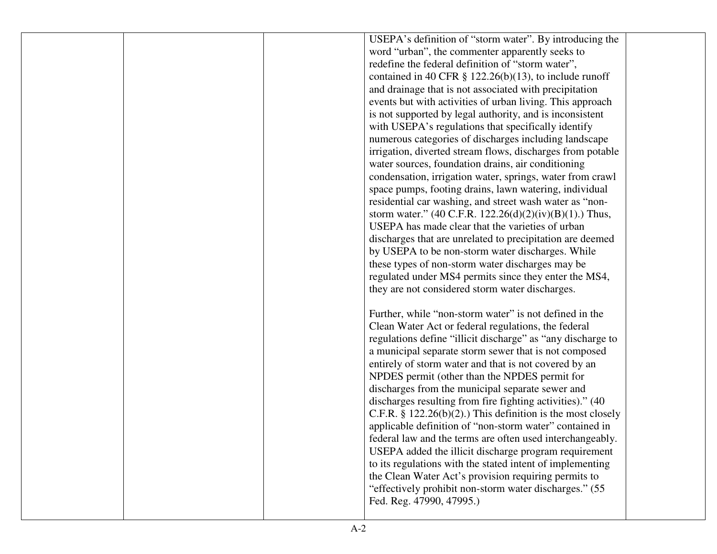|  | USEPA's definition of "storm water". By introducing the        |  |
|--|----------------------------------------------------------------|--|
|  | word "urban", the commenter apparently seeks to                |  |
|  | redefine the federal definition of "storm water",              |  |
|  | contained in 40 CFR $\S$ 122.26(b)(13), to include runoff      |  |
|  | and drainage that is not associated with precipitation         |  |
|  | events but with activities of urban living. This approach      |  |
|  | is not supported by legal authority, and is inconsistent       |  |
|  | with USEPA's regulations that specifically identify            |  |
|  | numerous categories of discharges including landscape          |  |
|  | irrigation, diverted stream flows, discharges from potable     |  |
|  | water sources, foundation drains, air conditioning             |  |
|  | condensation, irrigation water, springs, water from crawl      |  |
|  | space pumps, footing drains, lawn watering, individual         |  |
|  | residential car washing, and street wash water as "non-        |  |
|  | storm water." (40 C.F.R. 122.26(d)(2)(iv)(B)(1).) Thus,        |  |
|  | USEPA has made clear that the varieties of urban               |  |
|  | discharges that are unrelated to precipitation are deemed      |  |
|  | by USEPA to be non-storm water discharges. While               |  |
|  | these types of non-storm water discharges may be               |  |
|  | regulated under MS4 permits since they enter the MS4,          |  |
|  | they are not considered storm water discharges.                |  |
|  |                                                                |  |
|  | Further, while "non-storm water" is not defined in the         |  |
|  | Clean Water Act or federal regulations, the federal            |  |
|  | regulations define "illicit discharge" as "any discharge to    |  |
|  | a municipal separate storm sewer that is not composed          |  |
|  | entirely of storm water and that is not covered by an          |  |
|  | NPDES permit (other than the NPDES permit for                  |  |
|  | discharges from the municipal separate sewer and               |  |
|  | discharges resulting from fire fighting activities)." (40      |  |
|  | C.F.R. $\S$ 122.26(b)(2).) This definition is the most closely |  |
|  | applicable definition of "non-storm water" contained in        |  |
|  | federal law and the terms are often used interchangeably.      |  |
|  | USEPA added the illicit discharge program requirement          |  |
|  | to its regulations with the stated intent of implementing      |  |
|  | the Clean Water Act's provision requiring permits to           |  |
|  | "effectively prohibit non-storm water discharges." (55)        |  |
|  | Fed. Reg. 47990, 47995.)                                       |  |
|  |                                                                |  |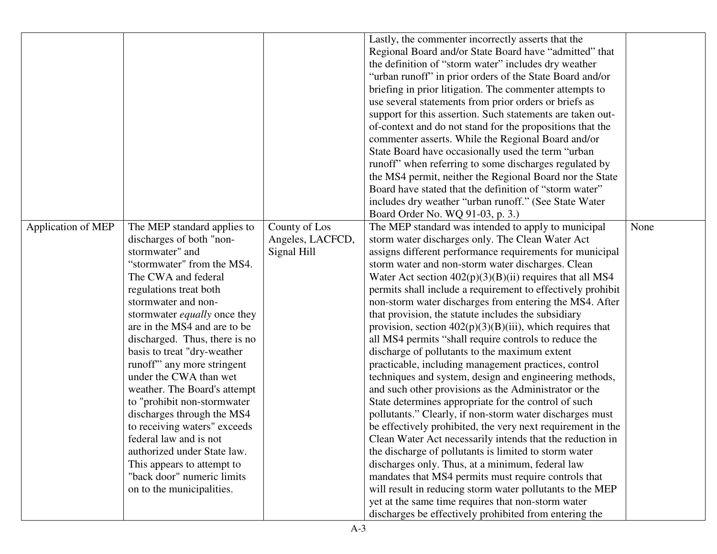| Lastly, the commenter incorrectly asserts that the                                                                               |      |
|----------------------------------------------------------------------------------------------------------------------------------|------|
| Regional Board and/or State Board have "admitted" that                                                                           |      |
| the definition of "storm water" includes dry weather                                                                             |      |
| "urban runoff" in prior orders of the State Board and/or                                                                         |      |
| briefing in prior litigation. The commenter attempts to                                                                          |      |
| use several statements from prior orders or briefs as                                                                            |      |
| support for this assertion. Such statements are taken out-                                                                       |      |
| of-context and do not stand for the propositions that the                                                                        |      |
| commenter asserts. While the Regional Board and/or                                                                               |      |
| State Board have occasionally used the term "urban"                                                                              |      |
| runoff" when referring to some discharges regulated by                                                                           |      |
| the MS4 permit, neither the Regional Board nor the State                                                                         |      |
| Board have stated that the definition of "storm water"                                                                           |      |
| includes dry weather "urban runoff." (See State Water                                                                            |      |
| Board Order No. WQ 91-03, p. 3.)                                                                                                 |      |
| County of Los<br><b>Application of MEP</b><br>The MEP standard applies to<br>The MEP standard was intended to apply to municipal | None |
| Angeles, LACFCD,<br>discharges of both "non-<br>storm water discharges only. The Clean Water Act                                 |      |
| stormwater" and<br>assigns different performance requirements for municipal<br>Signal Hill                                       |      |
| "stormwater" from the MS4.<br>storm water and non-storm water discharges. Clean                                                  |      |
| The CWA and federal<br>Water Act section $402(p)(3)(B)(ii)$ requires that all MS4                                                |      |
| regulations treat both<br>permits shall include a requirement to effectively prohibit                                            |      |
| non-storm water discharges from entering the MS4. After<br>stormwater and non-                                                   |      |
| stormwater <i>equally</i> once they<br>that provision, the statute includes the subsidiary                                       |      |
| are in the MS4 and are to be<br>provision, section $402(p)(3)(B)(iii)$ , which requires that                                     |      |
| discharged. Thus, there is no<br>all MS4 permits "shall require controls to reduce the                                           |      |
| basis to treat "dry-weather"<br>discharge of pollutants to the maximum extent                                                    |      |
| runoff" any more stringent<br>practicable, including management practices, control                                               |      |
| under the CWA than wet<br>techniques and system, design and engineering methods,                                                 |      |
| weather. The Board's attempt<br>and such other provisions as the Administrator or the                                            |      |
| State determines appropriate for the control of such<br>to "prohibit non-stormwater"                                             |      |
| discharges through the MS4<br>pollutants." Clearly, if non-storm water discharges must                                           |      |
| to receiving waters" exceeds<br>be effectively prohibited, the very next requirement in the                                      |      |
| Clean Water Act necessarily intends that the reduction in<br>federal law and is not                                              |      |
| authorized under State law.<br>the discharge of pollutants is limited to storm water                                             |      |
| discharges only. Thus, at a minimum, federal law<br>This appears to attempt to                                                   |      |
| "back door" numeric limits<br>mandates that MS4 permits must require controls that                                               |      |
| on to the municipalities.<br>will result in reducing storm water pollutants to the MEP                                           |      |
| yet at the same time requires that non-storm water                                                                               |      |
| discharges be effectively prohibited from entering the                                                                           |      |
|                                                                                                                                  |      |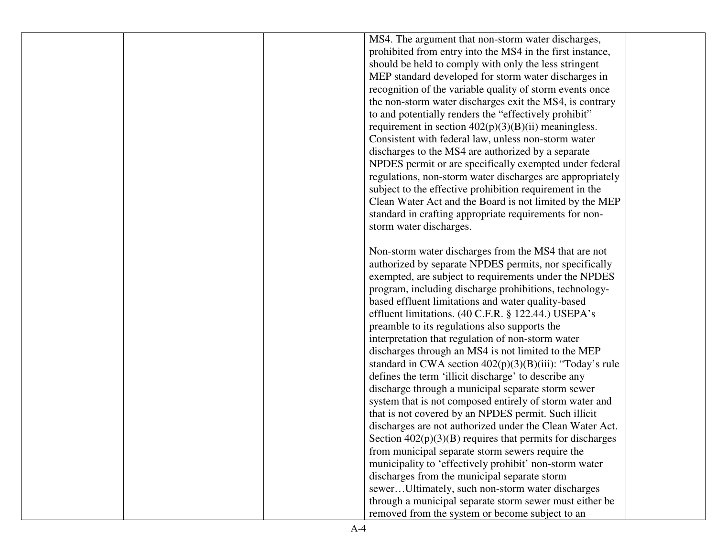MS4. The argument that non-storm water discharges, prohibited from entry into the MS4 in the first instance, should be held to comply with only the less stringent MEP standard developed for storm water discharges in recognition of the variable quality of storm events once the non-storm water discharges exit the MS4, is contrary to and potentially renders the "effectively prohibit" requirement in section  $402(p)(3)(B)(ii)$  meaningless. Consistent with federal law, unless non-storm water discharges to the MS4 are authorized by a separate NPDES permit or are specifically exempted under federal regulations, non-storm water discharges are appropriately subject to the effective prohibition requirement in the Clean Water Act and the Board is not limited by the MEP standard in crafting appropriate requirements for nonstorm water discharges. Non-storm water discharges from the MS4 that are not authorized by separate NPDES permits, nor specifically exempted, are subject to requirements under the NPDES program, including discharge prohibitions, technologybased effluent limitations and water quality-based effluent limitations. (40 C.F.R. § 122.44.) USEPA'spreamble to its regulations also supports the interpretation that regulation of non-storm water discharges through an MS4 is not limited to the MEP standard in CWA section 402(p)(3)(B)(iii): "Today's rule defines the term 'illicit discharge' to describe any discharge through a municipal separate storm sewer system that is not composed entirely of storm water and that is not covered by an NPDES permit. Such illicit discharges are not authorized under the Clean Water Act. Section  $402(p)(3)(B)$  requires that permits for discharges from municipal separate storm sewers require the municipality to 'effectively prohibit' non-storm water discharges from the municipal separate storm sewer…Ultimately, such non-storm water discharges through a municipal separate storm sewer must either be removed from the system or become subject to an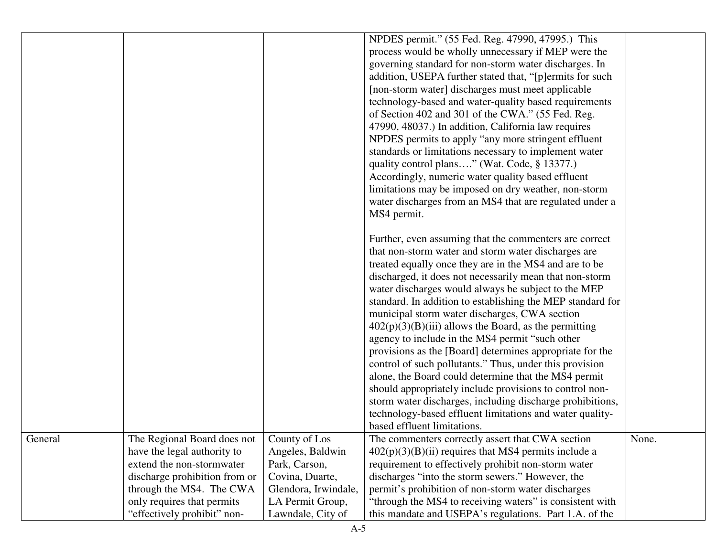|         |                               |                      | NPDES permit." (55 Fed. Reg. 47990, 47995.) This           |       |
|---------|-------------------------------|----------------------|------------------------------------------------------------|-------|
|         |                               |                      | process would be wholly unnecessary if MEP were the        |       |
|         |                               |                      | governing standard for non-storm water discharges. In      |       |
|         |                               |                      | addition, USEPA further stated that, "[p]ermits for such   |       |
|         |                               |                      | [non-storm water] discharges must meet applicable          |       |
|         |                               |                      | technology-based and water-quality based requirements      |       |
|         |                               |                      | of Section 402 and 301 of the CWA." (55 Fed. Reg.          |       |
|         |                               |                      | 47990, 48037.) In addition, California law requires        |       |
|         |                               |                      | NPDES permits to apply "any more stringent effluent"       |       |
|         |                               |                      | standards or limitations necessary to implement water      |       |
|         |                               |                      | quality control plans" (Wat. Code, § 13377.)               |       |
|         |                               |                      | Accordingly, numeric water quality based effluent          |       |
|         |                               |                      | limitations may be imposed on dry weather, non-storm       |       |
|         |                               |                      | water discharges from an MS4 that are regulated under a    |       |
|         |                               |                      | MS4 permit.                                                |       |
|         |                               |                      |                                                            |       |
|         |                               |                      | Further, even assuming that the commenters are correct     |       |
|         |                               |                      | that non-storm water and storm water discharges are        |       |
|         |                               |                      | treated equally once they are in the MS4 and are to be     |       |
|         |                               |                      |                                                            |       |
|         |                               |                      | discharged, it does not necessarily mean that non-storm    |       |
|         |                               |                      | water discharges would always be subject to the MEP        |       |
|         |                               |                      | standard. In addition to establishing the MEP standard for |       |
|         |                               |                      | municipal storm water discharges, CWA section              |       |
|         |                               |                      | $402(p)(3)(B)(iii)$ allows the Board, as the permitting    |       |
|         |                               |                      | agency to include in the MS4 permit "such other            |       |
|         |                               |                      | provisions as the [Board] determines appropriate for the   |       |
|         |                               |                      | control of such pollutants." Thus, under this provision    |       |
|         |                               |                      | alone, the Board could determine that the MS4 permit       |       |
|         |                               |                      | should appropriately include provisions to control non-    |       |
|         |                               |                      | storm water discharges, including discharge prohibitions,  |       |
|         |                               |                      | technology-based effluent limitations and water quality-   |       |
|         |                               |                      | based effluent limitations.                                |       |
| General | The Regional Board does not   | County of Los        | The commenters correctly assert that CWA section           | None. |
|         | have the legal authority to   | Angeles, Baldwin     | $402(p)(3)(B)(ii)$ requires that MS4 permits include a     |       |
|         | extend the non-stormwater     | Park, Carson,        | requirement to effectively prohibit non-storm water        |       |
|         | discharge prohibition from or | Covina, Duarte,      | discharges "into the storm sewers." However, the           |       |
|         | through the MS4. The CWA      | Glendora, Irwindale, | permit's prohibition of non-storm water discharges         |       |
|         | only requires that permits    | LA Permit Group,     | "through the MS4 to receiving waters" is consistent with   |       |
|         | "effectively prohibit" non-   | Lawndale, City of    | this mandate and USEPA's regulations. Part 1.A. of the     |       |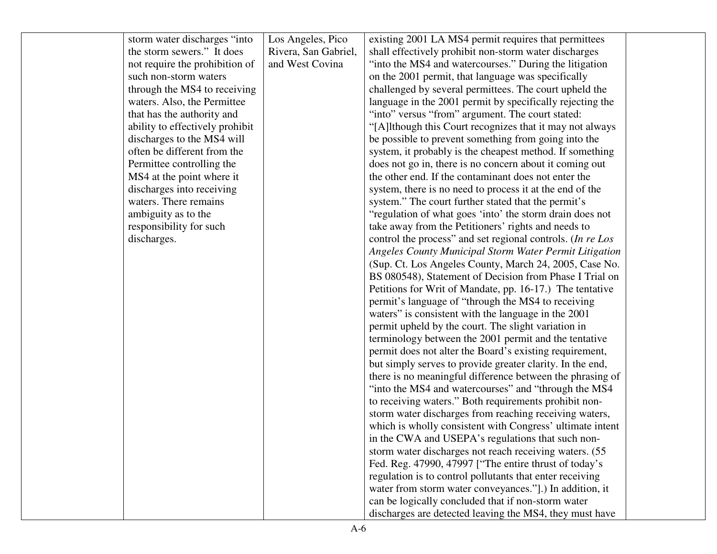| storm water discharges "into"   | Los Angeles, Pico    | existing 2001 LA MS4 permit requires that permittees          |  |
|---------------------------------|----------------------|---------------------------------------------------------------|--|
| the storm sewers." It does      | Rivera, San Gabriel, | shall effectively prohibit non-storm water discharges         |  |
| not require the prohibition of  | and West Covina      | "into the MS4 and watercourses." During the litigation        |  |
| such non-storm waters           |                      | on the 2001 permit, that language was specifically            |  |
| through the MS4 to receiving    |                      | challenged by several permittees. The court upheld the        |  |
| waters. Also, the Permittee     |                      | language in the 2001 permit by specifically rejecting the     |  |
| that has the authority and      |                      | "into" versus "from" argument. The court stated:              |  |
| ability to effectively prohibit |                      | "[A]lthough this Court recognizes that it may not always      |  |
| discharges to the MS4 will      |                      | be possible to prevent something from going into the          |  |
| often be different from the     |                      | system, it probably is the cheapest method. If something      |  |
| Permittee controlling the       |                      | does not go in, there is no concern about it coming out       |  |
| MS4 at the point where it       |                      | the other end. If the contaminant does not enter the          |  |
| discharges into receiving       |                      | system, there is no need to process it at the end of the      |  |
| waters. There remains           |                      | system." The court further stated that the permit's           |  |
| ambiguity as to the             |                      | "regulation of what goes 'into' the storm drain does not      |  |
| responsibility for such         |                      | take away from the Petitioners' rights and needs to           |  |
| discharges.                     |                      | control the process" and set regional controls. (In re Los    |  |
|                                 |                      | <b>Angeles County Municipal Storm Water Permit Litigation</b> |  |
|                                 |                      | (Sup. Ct. Los Angeles County, March 24, 2005, Case No.        |  |
|                                 |                      | BS 080548), Statement of Decision from Phase I Trial on       |  |
|                                 |                      | Petitions for Writ of Mandate, pp. 16-17.) The tentative      |  |
|                                 |                      | permit's language of "through the MS4 to receiving            |  |
|                                 |                      | waters" is consistent with the language in the 2001           |  |
|                                 |                      | permit upheld by the court. The slight variation in           |  |
|                                 |                      | terminology between the 2001 permit and the tentative         |  |
|                                 |                      | permit does not alter the Board's existing requirement,       |  |
|                                 |                      | but simply serves to provide greater clarity. In the end,     |  |
|                                 |                      | there is no meaningful difference between the phrasing of     |  |
|                                 |                      | "into the MS4 and watercourses" and "through the MS4          |  |
|                                 |                      | to receiving waters." Both requirements prohibit non-         |  |
|                                 |                      | storm water discharges from reaching receiving waters,        |  |
|                                 |                      | which is wholly consistent with Congress' ultimate intent     |  |
|                                 |                      | in the CWA and USEPA's regulations that such non-             |  |
|                                 |                      | storm water discharges not reach receiving waters. (55)       |  |
|                                 |                      | Fed. Reg. 47990, 47997 ["The entire thrust of today's         |  |
|                                 |                      | regulation is to control pollutants that enter receiving      |  |
|                                 |                      | water from storm water conveyances."].) In addition, it       |  |
|                                 |                      | can be logically concluded that if non-storm water            |  |
|                                 |                      | discharges are detected leaving the MS4, they must have       |  |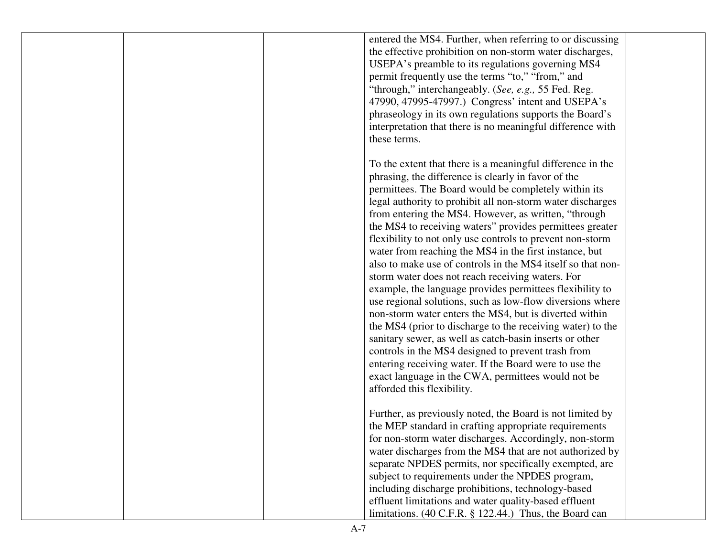|  | entered the MS4. Further, when referring to or discussing   |  |
|--|-------------------------------------------------------------|--|
|  | the effective prohibition on non-storm water discharges,    |  |
|  | USEPA's preamble to its regulations governing MS4           |  |
|  | permit frequently use the terms "to," "from," and           |  |
|  | "through," interchangeably. (See, e.g., 55 Fed. Reg.        |  |
|  | 47990, 47995-47997.) Congress' intent and USEPA's           |  |
|  | phraseology in its own regulations supports the Board's     |  |
|  | interpretation that there is no meaningful difference with  |  |
|  | these terms.                                                |  |
|  |                                                             |  |
|  | To the extent that there is a meaningful difference in the  |  |
|  | phrasing, the difference is clearly in favor of the         |  |
|  |                                                             |  |
|  | permittees. The Board would be completely within its        |  |
|  | legal authority to prohibit all non-storm water discharges  |  |
|  | from entering the MS4. However, as written, "through        |  |
|  | the MS4 to receiving waters" provides permittees greater    |  |
|  | flexibility to not only use controls to prevent non-storm   |  |
|  | water from reaching the MS4 in the first instance, but      |  |
|  | also to make use of controls in the MS4 itself so that non- |  |
|  | storm water does not reach receiving waters. For            |  |
|  | example, the language provides permittees flexibility to    |  |
|  | use regional solutions, such as low-flow diversions where   |  |
|  | non-storm water enters the MS4, but is diverted within      |  |
|  | the MS4 (prior to discharge to the receiving water) to the  |  |
|  | sanitary sewer, as well as catch-basin inserts or other     |  |
|  | controls in the MS4 designed to prevent trash from          |  |
|  | entering receiving water. If the Board were to use the      |  |
|  | exact language in the CWA, permittees would not be          |  |
|  | afforded this flexibility.                                  |  |
|  |                                                             |  |
|  | Further, as previously noted, the Board is not limited by   |  |
|  | the MEP standard in crafting appropriate requirements       |  |
|  | for non-storm water discharges. Accordingly, non-storm      |  |
|  | water discharges from the MS4 that are not authorized by    |  |
|  | separate NPDES permits, nor specifically exempted, are      |  |
|  | subject to requirements under the NPDES program,            |  |
|  | including discharge prohibitions, technology-based          |  |
|  | effluent limitations and water quality-based effluent       |  |
|  | limitations. (40 C.F.R. § 122.44.) Thus, the Board can      |  |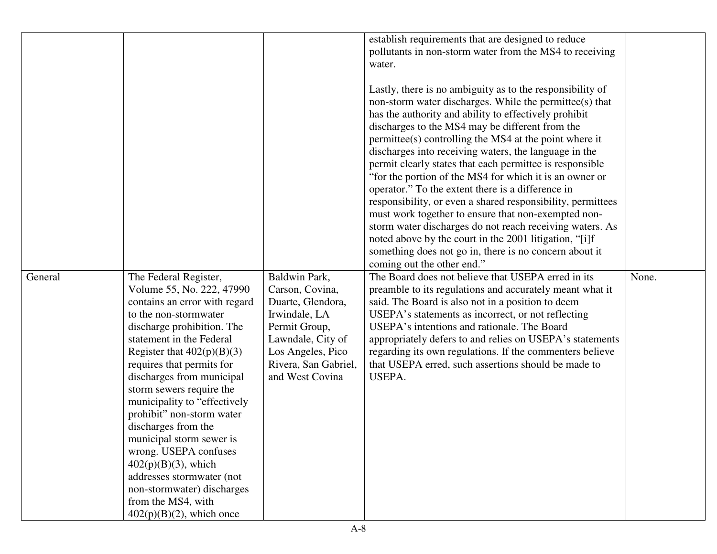| General | The Federal Register,                                                                                                                                                                                                                                                                                                                                                                                                                                                                                                                                   | Baldwin Park,                                                                                                                                               | establish requirements that are designed to reduce<br>pollutants in non-storm water from the MS4 to receiving<br>water.<br>Lastly, there is no ambiguity as to the responsibility of<br>non-storm water discharges. While the permittee(s) that<br>has the authority and ability to effectively prohibit<br>discharges to the MS4 may be different from the<br>permittee(s) controlling the MS4 at the point where it<br>discharges into receiving waters, the language in the<br>permit clearly states that each permittee is responsible<br>"for the portion of the MS4 for which it is an owner or<br>operator." To the extent there is a difference in<br>responsibility, or even a shared responsibility, permittees<br>must work together to ensure that non-exempted non-<br>storm water discharges do not reach receiving waters. As<br>noted above by the court in the 2001 litigation, "[i]f<br>something does not go in, there is no concern about it<br>coming out the other end."<br>The Board does not believe that USEPA erred in its | None. |
|---------|---------------------------------------------------------------------------------------------------------------------------------------------------------------------------------------------------------------------------------------------------------------------------------------------------------------------------------------------------------------------------------------------------------------------------------------------------------------------------------------------------------------------------------------------------------|-------------------------------------------------------------------------------------------------------------------------------------------------------------|------------------------------------------------------------------------------------------------------------------------------------------------------------------------------------------------------------------------------------------------------------------------------------------------------------------------------------------------------------------------------------------------------------------------------------------------------------------------------------------------------------------------------------------------------------------------------------------------------------------------------------------------------------------------------------------------------------------------------------------------------------------------------------------------------------------------------------------------------------------------------------------------------------------------------------------------------------------------------------------------------------------------------------------------------|-------|
|         | Volume 55, No. 222, 47990<br>contains an error with regard<br>to the non-stormwater<br>discharge prohibition. The<br>statement in the Federal<br>Register that $402(p)(B)(3)$<br>requires that permits for<br>discharges from municipal<br>storm sewers require the<br>municipality to "effectively"<br>prohibit" non-storm water<br>discharges from the<br>municipal storm sewer is<br>wrong. USEPA confuses<br>$402(p)(B)(3)$ , which<br>addresses stormwater (not<br>non-stormwater) discharges<br>from the MS4, with<br>$402(p)(B)(2)$ , which once | Carson, Covina,<br>Duarte, Glendora,<br>Irwindale, LA<br>Permit Group,<br>Lawndale, City of<br>Los Angeles, Pico<br>Rivera, San Gabriel,<br>and West Covina | preamble to its regulations and accurately meant what it<br>said. The Board is also not in a position to deem<br>USEPA's statements as incorrect, or not reflecting<br>USEPA's intentions and rationale. The Board<br>appropriately defers to and relies on USEPA's statements<br>regarding its own regulations. If the commenters believe<br>that USEPA erred, such assertions should be made to<br>USEPA.                                                                                                                                                                                                                                                                                                                                                                                                                                                                                                                                                                                                                                          |       |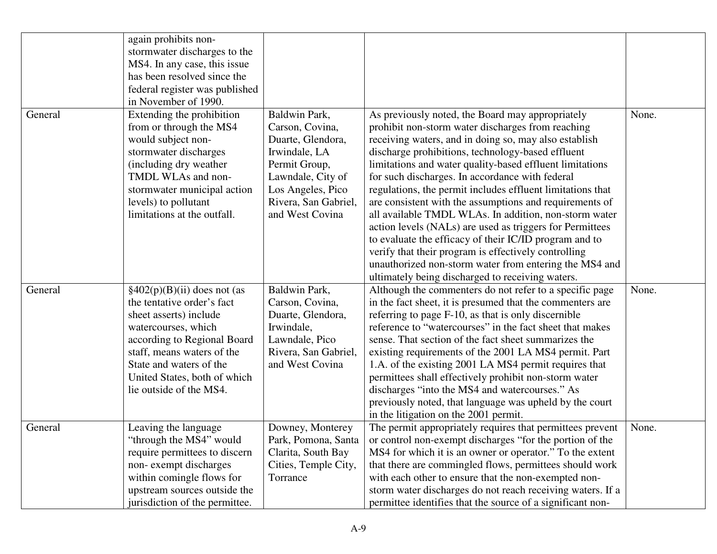|         | again prohibits non-<br>stormwater discharges to the<br>MS4. In any case, this issue<br>has been resolved since the<br>federal register was published<br>in November of 1990.                                                                                              |                                                                                                                                                                              |                                                                                                                                                                                                                                                                                                                                                                                                                                                                                                                                                                                                                                                                                                                                                                                                                  |       |
|---------|----------------------------------------------------------------------------------------------------------------------------------------------------------------------------------------------------------------------------------------------------------------------------|------------------------------------------------------------------------------------------------------------------------------------------------------------------------------|------------------------------------------------------------------------------------------------------------------------------------------------------------------------------------------------------------------------------------------------------------------------------------------------------------------------------------------------------------------------------------------------------------------------------------------------------------------------------------------------------------------------------------------------------------------------------------------------------------------------------------------------------------------------------------------------------------------------------------------------------------------------------------------------------------------|-------|
| General | Extending the prohibition<br>from or through the MS4<br>would subject non-<br>stormwater discharges<br>(including dry weather)<br>TMDL WLAs and non-<br>stormwater municipal action<br>levels) to pollutant<br>limitations at the outfall.                                 | Baldwin Park,<br>Carson, Covina,<br>Duarte, Glendora,<br>Irwindale, LA<br>Permit Group,<br>Lawndale, City of<br>Los Angeles, Pico<br>Rivera, San Gabriel,<br>and West Covina | As previously noted, the Board may appropriately<br>prohibit non-storm water discharges from reaching<br>receiving waters, and in doing so, may also establish<br>discharge prohibitions, technology-based effluent<br>limitations and water quality-based effluent limitations<br>for such discharges. In accordance with federal<br>regulations, the permit includes effluent limitations that<br>are consistent with the assumptions and requirements of<br>all available TMDL WLAs. In addition, non-storm water<br>action levels (NALs) are used as triggers for Permittees<br>to evaluate the efficacy of their IC/ID program and to<br>verify that their program is effectively controlling<br>unauthorized non-storm water from entering the MS4 and<br>ultimately being discharged to receiving waters. | None. |
| General | $\frac{1}{2}(402(p)(B)(ii)$ does not (as<br>the tentative order's fact<br>sheet asserts) include<br>watercourses, which<br>according to Regional Board<br>staff, means waters of the<br>State and waters of the<br>United States, both of which<br>lie outside of the MS4. | Baldwin Park,<br>Carson, Covina,<br>Duarte, Glendora,<br>Irwindale,<br>Lawndale, Pico<br>Rivera, San Gabriel,<br>and West Covina                                             | Although the commenters do not refer to a specific page<br>in the fact sheet, it is presumed that the commenters are<br>referring to page F-10, as that is only discernible<br>reference to "watercourses" in the fact sheet that makes<br>sense. That section of the fact sheet summarizes the<br>existing requirements of the 2001 LA MS4 permit. Part<br>1.A. of the existing 2001 LA MS4 permit requires that<br>permittees shall effectively prohibit non-storm water<br>discharges "into the MS4 and watercourses." As<br>previously noted, that language was upheld by the court<br>in the litigation on the 2001 permit.                                                                                                                                                                                 | None. |
| General | Leaving the language<br>through the MS4" would<br>require permittees to discern<br>non-exempt discharges<br>within comingle flows for<br>upstream sources outside the<br>jurisdiction of the permittee.                                                                    | Downey, Monterey<br>Park, Pomona, Santa<br>Clarita, South Bay<br>Cities, Temple City,<br>Torrance                                                                            | The permit appropriately requires that permittees prevent<br>or control non-exempt discharges "for the portion of the<br>MS4 for which it is an owner or operator." To the extent<br>that there are commingled flows, permittees should work<br>with each other to ensure that the non-exempted non-<br>storm water discharges do not reach receiving waters. If a<br>permittee identifies that the source of a significant non-                                                                                                                                                                                                                                                                                                                                                                                 | None. |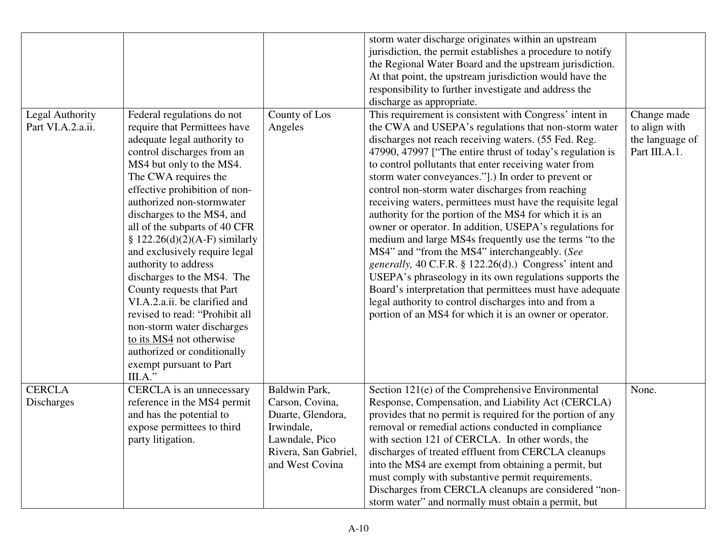|                   |                                |                      | storm water discharge originates within an upstream        |                 |
|-------------------|--------------------------------|----------------------|------------------------------------------------------------|-----------------|
|                   |                                |                      | jurisdiction, the permit establishes a procedure to notify |                 |
|                   |                                |                      | the Regional Water Board and the upstream jurisdiction.    |                 |
|                   |                                |                      | At that point, the upstream jurisdiction would have the    |                 |
|                   |                                |                      | responsibility to further investigate and address the      |                 |
|                   |                                |                      | discharge as appropriate.                                  |                 |
| Legal Authority   | Federal regulations do not     | County of Los        | This requirement is consistent with Congress' intent in    | Change made     |
| Part VI.A.2.a.ii. | require that Permittees have   | Angeles              | the CWA and USEPA's regulations that non-storm water       | to align with   |
|                   | adequate legal authority to    |                      | discharges not reach receiving waters. (55 Fed. Reg.       | the language of |
|                   | control discharges from an     |                      | 47990, 47997 ["The entire thrust of today's regulation is  | Part III.A.1.   |
|                   | MS4 but only to the MS4.       |                      | to control pollutants that enter receiving water from      |                 |
|                   | The CWA requires the           |                      | storm water conveyances."].) In order to prevent or        |                 |
|                   | effective prohibition of non-  |                      | control non-storm water discharges from reaching           |                 |
|                   | authorized non-stormwater      |                      | receiving waters, permittees must have the requisite legal |                 |
|                   | discharges to the MS4, and     |                      | authority for the portion of the MS4 for which it is an    |                 |
|                   | all of the subparts of 40 CFR  |                      | owner or operator. In addition, USEPA's regulations for    |                 |
|                   | § 122.26(d)(2)(A-F) similarly  |                      | medium and large MS4s frequently use the terms "to the     |                 |
|                   | and exclusively require legal  |                      | MS4" and "from the MS4" interchangeably. (See              |                 |
|                   | authority to address           |                      | generally, 40 C.F.R. § 122.26(d).) Congress' intent and    |                 |
|                   | discharges to the MS4. The     |                      | USEPA's phraseology in its own regulations supports the    |                 |
|                   | County requests that Part      |                      | Board's interpretation that permittees must have adequate  |                 |
|                   | VI.A.2.a.ii. be clarified and  |                      | legal authority to control discharges into and from a      |                 |
|                   | revised to read: "Prohibit all |                      | portion of an MS4 for which it is an owner or operator.    |                 |
|                   | non-storm water discharges     |                      |                                                            |                 |
|                   | to its MS4 not otherwise       |                      |                                                            |                 |
|                   | authorized or conditionally    |                      |                                                            |                 |
|                   | exempt pursuant to Part        |                      |                                                            |                 |
|                   | III.A."                        |                      |                                                            |                 |
| <b>CERCLA</b>     | CERCLA is an unnecessary       | Baldwin Park,        | Section 121(e) of the Comprehensive Environmental          | None.           |
| Discharges        | reference in the MS4 permit    | Carson, Covina,      | Response, Compensation, and Liability Act (CERCLA)         |                 |
|                   | and has the potential to       | Duarte, Glendora,    | provides that no permit is required for the portion of any |                 |
|                   | expose permittees to third     | Irwindale,           | removal or remedial actions conducted in compliance        |                 |
|                   | party litigation.              | Lawndale, Pico       | with section 121 of CERCLA. In other words, the            |                 |
|                   |                                | Rivera, San Gabriel, | discharges of treated effluent from CERCLA cleanups        |                 |
|                   |                                | and West Covina      | into the MS4 are exempt from obtaining a permit, but       |                 |
|                   |                                |                      | must comply with substantive permit requirements.          |                 |
|                   |                                |                      | Discharges from CERCLA cleanups are considered "non-       |                 |
|                   |                                |                      |                                                            |                 |
|                   |                                |                      | storm water" and normally must obtain a permit, but        |                 |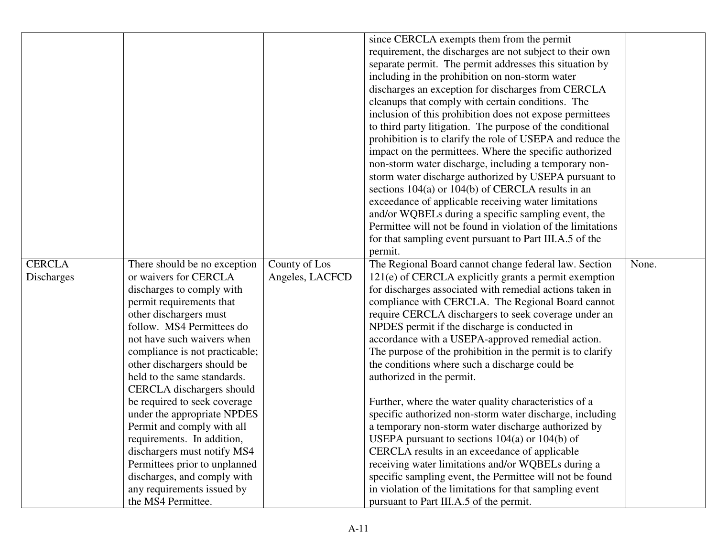| since CERCLA exempts them from the permit                                                                                        |  |
|----------------------------------------------------------------------------------------------------------------------------------|--|
| requirement, the discharges are not subject to their own                                                                         |  |
| separate permit. The permit addresses this situation by                                                                          |  |
| including in the prohibition on non-storm water                                                                                  |  |
| discharges an exception for discharges from CERCLA                                                                               |  |
| cleanups that comply with certain conditions. The                                                                                |  |
| inclusion of this prohibition does not expose permittees                                                                         |  |
| to third party litigation. The purpose of the conditional                                                                        |  |
| prohibition is to clarify the role of USEPA and reduce the                                                                       |  |
| impact on the permittees. Where the specific authorized                                                                          |  |
| non-storm water discharge, including a temporary non-                                                                            |  |
| storm water discharge authorized by USEPA pursuant to                                                                            |  |
| sections $104(a)$ or $104(b)$ of CERCLA results in an                                                                            |  |
| exceedance of applicable receiving water limitations                                                                             |  |
| and/or WQBELs during a specific sampling event, the                                                                              |  |
| Permittee will not be found in violation of the limitations                                                                      |  |
| for that sampling event pursuant to Part III.A.5 of the                                                                          |  |
| permit.                                                                                                                          |  |
| <b>CERCLA</b><br>County of Los<br>The Regional Board cannot change federal law. Section<br>None.<br>There should be no exception |  |
| or waivers for CERCLA<br>Angeles, LACFCD<br>Discharges<br>121(e) of CERCLA explicitly grants a permit exemption                  |  |
| discharges to comply with<br>for discharges associated with remedial actions taken in                                            |  |
| compliance with CERCLA. The Regional Board cannot<br>permit requirements that                                                    |  |
| other dischargers must<br>require CERCLA dischargers to seek coverage under an                                                   |  |
| follow. MS4 Permittees do<br>NPDES permit if the discharge is conducted in                                                       |  |
| not have such waivers when<br>accordance with a USEPA-approved remedial action.                                                  |  |
| The purpose of the prohibition in the permit is to clarify<br>compliance is not practicable;                                     |  |
| other dischargers should be<br>the conditions where such a discharge could be                                                    |  |
| held to the same standards.<br>authorized in the permit.                                                                         |  |
| CERCLA dischargers should                                                                                                        |  |
| be required to seek coverage<br>Further, where the water quality characteristics of a                                            |  |
| under the appropriate NPDES<br>specific authorized non-storm water discharge, including                                          |  |
| Permit and comply with all<br>a temporary non-storm water discharge authorized by                                                |  |
| USEPA pursuant to sections $104(a)$ or $104(b)$ of<br>requirements. In addition,                                                 |  |
| dischargers must notify MS4<br>CERCLA results in an exceedance of applicable                                                     |  |
| Permittees prior to unplanned<br>receiving water limitations and/or WQBELs during a                                              |  |
| discharges, and comply with<br>specific sampling event, the Permittee will not be found                                          |  |
| any requirements issued by<br>in violation of the limitations for that sampling event                                            |  |
| the MS4 Permittee.<br>pursuant to Part III.A.5 of the permit.                                                                    |  |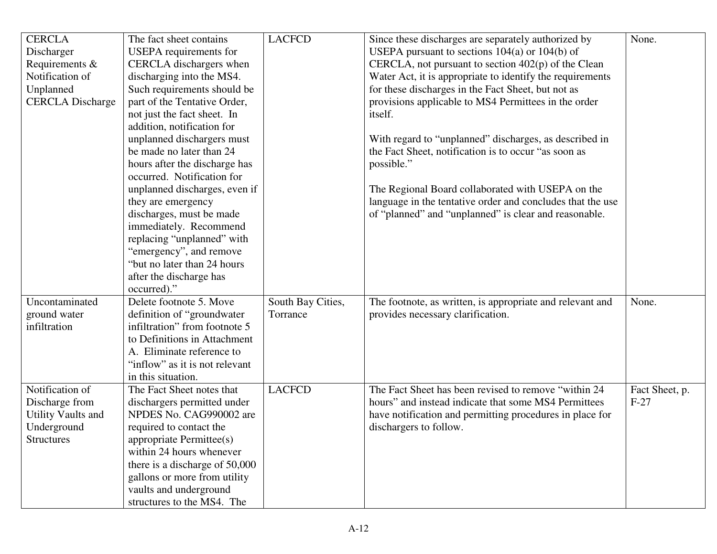| <b>CERCLA</b>             | The fact sheet contains        | <b>LACFCD</b>     | Since these discharges are separately authorized by        | None.          |
|---------------------------|--------------------------------|-------------------|------------------------------------------------------------|----------------|
| Discharger                | USEPA requirements for         |                   | USEPA pursuant to sections $104(a)$ or $104(b)$ of         |                |
| Requirements &            | CERCLA dischargers when        |                   | CERCLA, not pursuant to section $402(p)$ of the Clean      |                |
| Notification of           | discharging into the MS4.      |                   | Water Act, it is appropriate to identify the requirements  |                |
| Unplanned                 | Such requirements should be    |                   | for these discharges in the Fact Sheet, but not as         |                |
| <b>CERCLA</b> Discharge   | part of the Tentative Order,   |                   | provisions applicable to MS4 Permittees in the order       |                |
|                           | not just the fact sheet. In    |                   | itself.                                                    |                |
|                           | addition, notification for     |                   |                                                            |                |
|                           | unplanned dischargers must     |                   | With regard to "unplanned" discharges, as described in     |                |
|                           | be made no later than 24       |                   | the Fact Sheet, notification is to occur "as soon as       |                |
|                           | hours after the discharge has  |                   | possible."                                                 |                |
|                           | occurred. Notification for     |                   |                                                            |                |
|                           | unplanned discharges, even if  |                   | The Regional Board collaborated with USEPA on the          |                |
|                           | they are emergency             |                   | language in the tentative order and concludes that the use |                |
|                           | discharges, must be made       |                   | of "planned" and "unplanned" is clear and reasonable.      |                |
|                           | immediately. Recommend         |                   |                                                            |                |
|                           | replacing "unplanned" with     |                   |                                                            |                |
|                           | "emergency", and remove        |                   |                                                            |                |
|                           | "but no later than 24 hours"   |                   |                                                            |                |
|                           | after the discharge has        |                   |                                                            |                |
|                           | occurred)."                    |                   |                                                            |                |
| Uncontaminated            | Delete footnote 5. Move        | South Bay Cities, | The footnote, as written, is appropriate and relevant and  | None.          |
| ground water              | definition of "groundwater"    | Torrance          | provides necessary clarification.                          |                |
| infiltration              | infiltration" from footnote 5  |                   |                                                            |                |
|                           | to Definitions in Attachment   |                   |                                                            |                |
|                           | A. Eliminate reference to      |                   |                                                            |                |
|                           | "inflow" as it is not relevant |                   |                                                            |                |
|                           | in this situation.             |                   |                                                            |                |
| Notification of           | The Fact Sheet notes that      | <b>LACFCD</b>     | The Fact Sheet has been revised to remove "within 24       | Fact Sheet, p. |
| Discharge from            | dischargers permitted under    |                   | hours" and instead indicate that some MS4 Permittees       | $F-27$         |
| <b>Utility Vaults and</b> | NPDES No. CAG990002 are        |                   | have notification and permitting procedures in place for   |                |
| Underground               | required to contact the        |                   | dischargers to follow.                                     |                |
| <b>Structures</b>         | appropriate Permittee(s)       |                   |                                                            |                |
|                           | within 24 hours whenever       |                   |                                                            |                |
|                           | there is a discharge of 50,000 |                   |                                                            |                |
|                           | gallons or more from utility   |                   |                                                            |                |
|                           | vaults and underground         |                   |                                                            |                |
|                           | structures to the MS4. The     |                   |                                                            |                |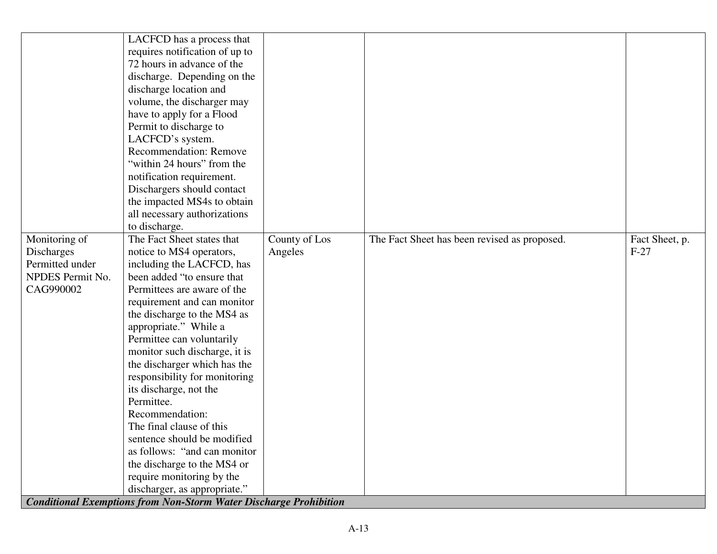| Monitoring of<br>Discharges<br>Permitted under<br>NPDES Permit No.<br>CAG990002 | LACFCD has a process that<br>requires notification of up to<br>72 hours in advance of the<br>discharge. Depending on the<br>discharge location and<br>volume, the discharger may<br>have to apply for a Flood<br>Permit to discharge to<br>LACFCD's system.<br><b>Recommendation: Remove</b><br>"within 24 hours" from the<br>notification requirement.<br>Dischargers should contact<br>the impacted MS4s to obtain<br>all necessary authorizations<br>to discharge.<br>The Fact Sheet states that<br>notice to MS4 operators,<br>including the LACFCD, has<br>been added "to ensure that<br>Permittees are aware of the<br>requirement and can monitor<br>the discharge to the MS4 as<br>appropriate." While a<br>Permittee can voluntarily<br>monitor such discharge, it is<br>the discharger which has the<br>responsibility for monitoring<br>its discharge, not the<br>Permittee.<br>Recommendation:<br>The final clause of this<br>sentence should be modified<br>as follows: "and can monitor"<br>the discharge to the MS4 or | County of Los<br>Angeles | The Fact Sheet has been revised as proposed. | Fact Sheet, p.<br>$F-27$ |
|---------------------------------------------------------------------------------|---------------------------------------------------------------------------------------------------------------------------------------------------------------------------------------------------------------------------------------------------------------------------------------------------------------------------------------------------------------------------------------------------------------------------------------------------------------------------------------------------------------------------------------------------------------------------------------------------------------------------------------------------------------------------------------------------------------------------------------------------------------------------------------------------------------------------------------------------------------------------------------------------------------------------------------------------------------------------------------------------------------------------------------|--------------------------|----------------------------------------------|--------------------------|
|                                                                                 |                                                                                                                                                                                                                                                                                                                                                                                                                                                                                                                                                                                                                                                                                                                                                                                                                                                                                                                                                                                                                                       |                          |                                              |                          |
|                                                                                 | require monitoring by the                                                                                                                                                                                                                                                                                                                                                                                                                                                                                                                                                                                                                                                                                                                                                                                                                                                                                                                                                                                                             |                          |                                              |                          |
|                                                                                 | discharger, as appropriate."                                                                                                                                                                                                                                                                                                                                                                                                                                                                                                                                                                                                                                                                                                                                                                                                                                                                                                                                                                                                          |                          |                                              |                          |
|                                                                                 |                                                                                                                                                                                                                                                                                                                                                                                                                                                                                                                                                                                                                                                                                                                                                                                                                                                                                                                                                                                                                                       |                          |                                              |                          |
|                                                                                 | <b>Conditional Exemptions from Non-Storm Water Discharge Prohibition</b>                                                                                                                                                                                                                                                                                                                                                                                                                                                                                                                                                                                                                                                                                                                                                                                                                                                                                                                                                              |                          |                                              |                          |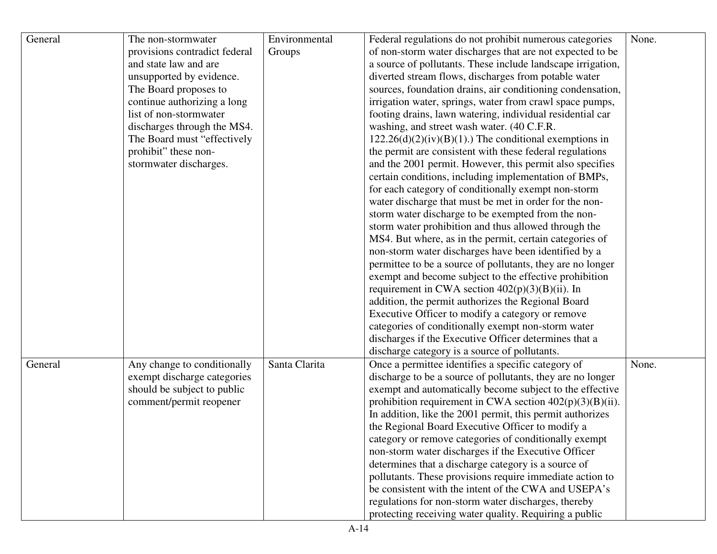| General | The non-stormwater            | Environmental | Federal regulations do not prohibit numerous categories     | None. |
|---------|-------------------------------|---------------|-------------------------------------------------------------|-------|
|         | provisions contradict federal | Groups        | of non-storm water discharges that are not expected to be   |       |
|         | and state law and are         |               | a source of pollutants. These include landscape irrigation, |       |
|         | unsupported by evidence.      |               | diverted stream flows, discharges from potable water        |       |
|         | The Board proposes to         |               | sources, foundation drains, air conditioning condensation,  |       |
|         | continue authorizing a long   |               | irrigation water, springs, water from crawl space pumps,    |       |
|         | list of non-stormwater        |               | footing drains, lawn watering, individual residential car   |       |
|         | discharges through the MS4.   |               | washing, and street wash water. (40 C.F.R.                  |       |
|         | The Board must "effectively"  |               | $122.26(d)(2)(iv)(B)(1)$ .) The conditional exemptions in   |       |
|         | prohibit" these non-          |               | the permit are consistent with these federal regulations    |       |
|         | stormwater discharges.        |               | and the 2001 permit. However, this permit also specifies    |       |
|         |                               |               | certain conditions, including implementation of BMPs,       |       |
|         |                               |               | for each category of conditionally exempt non-storm         |       |
|         |                               |               | water discharge that must be met in order for the non-      |       |
|         |                               |               | storm water discharge to be exempted from the non-          |       |
|         |                               |               | storm water prohibition and thus allowed through the        |       |
|         |                               |               | MS4. But where, as in the permit, certain categories of     |       |
|         |                               |               | non-storm water discharges have been identified by a        |       |
|         |                               |               | permittee to be a source of pollutants, they are no longer  |       |
|         |                               |               | exempt and become subject to the effective prohibition      |       |
|         |                               |               | requirement in CWA section $402(p)(3)(B)(ii)$ . In          |       |
|         |                               |               | addition, the permit authorizes the Regional Board          |       |
|         |                               |               | Executive Officer to modify a category or remove            |       |
|         |                               |               | categories of conditionally exempt non-storm water          |       |
|         |                               |               | discharges if the Executive Officer determines that a       |       |
|         |                               |               | discharge category is a source of pollutants.               |       |
| General | Any change to conditionally   | Santa Clarita | Once a permittee identifies a specific category of          | None. |
|         | exempt discharge categories   |               | discharge to be a source of pollutants, they are no longer  |       |
|         | should be subject to public   |               | exempt and automatically become subject to the effective    |       |
|         | comment/permit reopener       |               | prohibition requirement in CWA section $402(p)(3)(B)(ii)$ . |       |
|         |                               |               | In addition, like the 2001 permit, this permit authorizes   |       |
|         |                               |               | the Regional Board Executive Officer to modify a            |       |
|         |                               |               | category or remove categories of conditionally exempt       |       |
|         |                               |               | non-storm water discharges if the Executive Officer         |       |
|         |                               |               | determines that a discharge category is a source of         |       |
|         |                               |               | pollutants. These provisions require immediate action to    |       |
|         |                               |               | be consistent with the intent of the CWA and USEPA's        |       |
|         |                               |               | regulations for non-storm water discharges, thereby         |       |
|         |                               |               | protecting receiving water quality. Requiring a public      |       |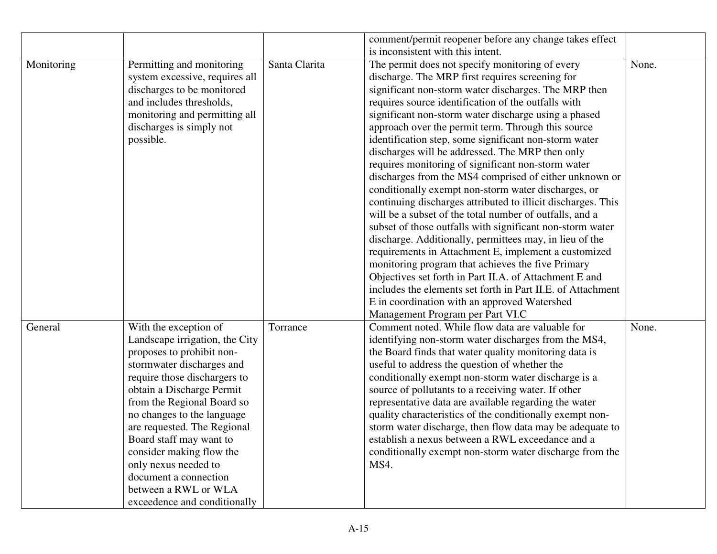|            |                                |               | comment/permit reopener before any change takes effect       |       |
|------------|--------------------------------|---------------|--------------------------------------------------------------|-------|
|            |                                |               | is inconsistent with this intent.                            |       |
| Monitoring | Permitting and monitoring      | Santa Clarita | The permit does not specify monitoring of every              | None. |
|            | system excessive, requires all |               | discharge. The MRP first requires screening for              |       |
|            | discharges to be monitored     |               | significant non-storm water discharges. The MRP then         |       |
|            | and includes thresholds,       |               | requires source identification of the outfalls with          |       |
|            | monitoring and permitting all  |               | significant non-storm water discharge using a phased         |       |
|            | discharges is simply not       |               | approach over the permit term. Through this source           |       |
|            | possible.                      |               | identification step, some significant non-storm water        |       |
|            |                                |               | discharges will be addressed. The MRP then only              |       |
|            |                                |               | requires monitoring of significant non-storm water           |       |
|            |                                |               | discharges from the MS4 comprised of either unknown or       |       |
|            |                                |               | conditionally exempt non-storm water discharges, or          |       |
|            |                                |               | continuing discharges attributed to illicit discharges. This |       |
|            |                                |               | will be a subset of the total number of outfalls, and a      |       |
|            |                                |               | subset of those outfalls with significant non-storm water    |       |
|            |                                |               | discharge. Additionally, permittees may, in lieu of the      |       |
|            |                                |               | requirements in Attachment E, implement a customized         |       |
|            |                                |               | monitoring program that achieves the five Primary            |       |
|            |                                |               | Objectives set forth in Part II.A. of Attachment E and       |       |
|            |                                |               | includes the elements set forth in Part II.E. of Attachment  |       |
|            |                                |               | E in coordination with an approved Watershed                 |       |
|            |                                |               | Management Program per Part VI.C                             |       |
| General    | With the exception of          | Torrance      | Comment noted. While flow data are valuable for              | None. |
|            | Landscape irrigation, the City |               | identifying non-storm water discharges from the MS4,         |       |
|            | proposes to prohibit non-      |               | the Board finds that water quality monitoring data is        |       |
|            | stormwater discharges and      |               | useful to address the question of whether the                |       |
|            | require those dischargers to   |               | conditionally exempt non-storm water discharge is a          |       |
|            | obtain a Discharge Permit      |               | source of pollutants to a receiving water. If other          |       |
|            | from the Regional Board so     |               | representative data are available regarding the water        |       |
|            | no changes to the language     |               | quality characteristics of the conditionally exempt non-     |       |
|            | are requested. The Regional    |               | storm water discharge, then flow data may be adequate to     |       |
|            | Board staff may want to        |               | establish a nexus between a RWL exceedance and a             |       |
|            | consider making flow the       |               | conditionally exempt non-storm water discharge from the      |       |
|            | only nexus needed to           |               | MS4.                                                         |       |
|            | document a connection          |               |                                                              |       |
|            | between a RWL or WLA           |               |                                                              |       |
|            | exceedence and conditionally   |               |                                                              |       |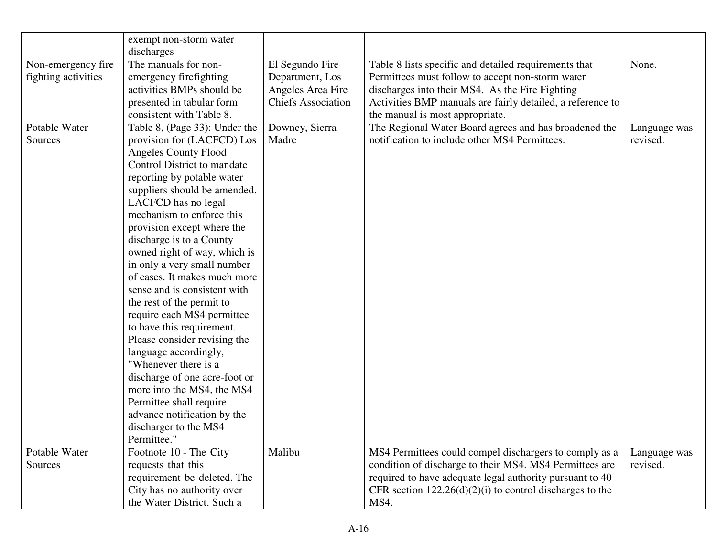|                     | exempt non-storm water        |                           |                                                            |              |
|---------------------|-------------------------------|---------------------------|------------------------------------------------------------|--------------|
|                     | discharges                    |                           |                                                            |              |
| Non-emergency fire  | The manuals for non-          | El Segundo Fire           | Table 8 lists specific and detailed requirements that      | None.        |
| fighting activities | emergency firefighting        | Department, Los           | Permittees must follow to accept non-storm water           |              |
|                     | activities BMPs should be     | Angeles Area Fire         | discharges into their MS4. As the Fire Fighting            |              |
|                     | presented in tabular form     | <b>Chiefs Association</b> | Activities BMP manuals are fairly detailed, a reference to |              |
|                     | consistent with Table 8.      |                           | the manual is most appropriate.                            |              |
| Potable Water       | Table 8, (Page 33): Under the | Downey, Sierra            | The Regional Water Board agrees and has broadened the      | Language was |
| Sources             | provision for (LACFCD) Los    | Madre                     | notification to include other MS4 Permittees.              | revised.     |
|                     | <b>Angeles County Flood</b>   |                           |                                                            |              |
|                     | Control District to mandate   |                           |                                                            |              |
|                     | reporting by potable water    |                           |                                                            |              |
|                     | suppliers should be amended.  |                           |                                                            |              |
|                     | LACFCD has no legal           |                           |                                                            |              |
|                     | mechanism to enforce this     |                           |                                                            |              |
|                     | provision except where the    |                           |                                                            |              |
|                     | discharge is to a County      |                           |                                                            |              |
|                     | owned right of way, which is  |                           |                                                            |              |
|                     | in only a very small number   |                           |                                                            |              |
|                     | of cases. It makes much more  |                           |                                                            |              |
|                     | sense and is consistent with  |                           |                                                            |              |
|                     | the rest of the permit to     |                           |                                                            |              |
|                     | require each MS4 permittee    |                           |                                                            |              |
|                     | to have this requirement.     |                           |                                                            |              |
|                     | Please consider revising the  |                           |                                                            |              |
|                     | language accordingly,         |                           |                                                            |              |
|                     | "Whenever there is a          |                           |                                                            |              |
|                     | discharge of one acre-foot or |                           |                                                            |              |
|                     | more into the MS4, the MS4    |                           |                                                            |              |
|                     | Permittee shall require       |                           |                                                            |              |
|                     | advance notification by the   |                           |                                                            |              |
|                     | discharger to the MS4         |                           |                                                            |              |
|                     | Permittee."                   |                           |                                                            |              |
| Potable Water       | Footnote 10 - The City        | Malibu                    | MS4 Permittees could compel dischargers to comply as a     | Language was |
| Sources             | requests that this            |                           | condition of discharge to their MS4. MS4 Permittees are    | revised.     |
|                     | requirement be deleted. The   |                           | required to have adequate legal authority pursuant to 40   |              |
|                     | City has no authority over    |                           | CFR section $122.26(d)(2)(i)$ to control discharges to the |              |
|                     | the Water District. Such a    |                           | MS4.                                                       |              |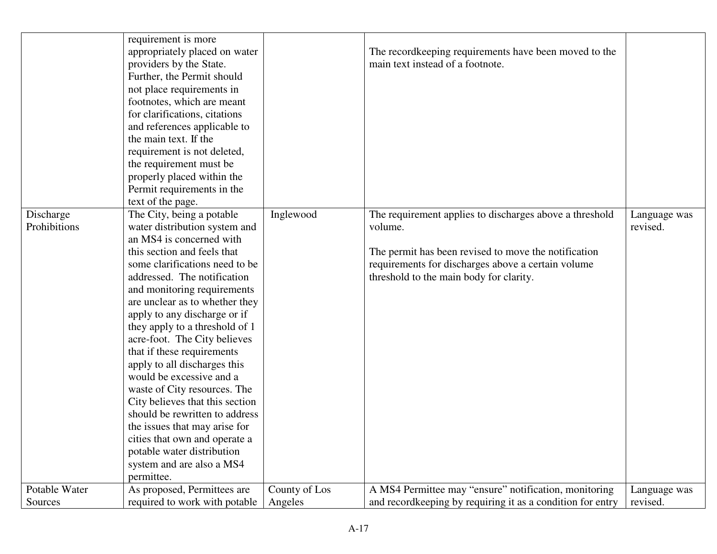|                           | requirement is more<br>appropriately placed on water<br>providers by the State.<br>Further, the Permit should<br>not place requirements in<br>footnotes, which are meant<br>for clarifications, citations<br>and references applicable to<br>the main text. If the<br>requirement is not deleted,<br>the requirement must be<br>properly placed within the<br>Permit requirements in the<br>text of the page.                                                                                                                                                                                                                                                                                       |               | The record keeping requirements have been moved to the<br>main text instead of a footnote.                                                                                                                                  |                          |
|---------------------------|-----------------------------------------------------------------------------------------------------------------------------------------------------------------------------------------------------------------------------------------------------------------------------------------------------------------------------------------------------------------------------------------------------------------------------------------------------------------------------------------------------------------------------------------------------------------------------------------------------------------------------------------------------------------------------------------------------|---------------|-----------------------------------------------------------------------------------------------------------------------------------------------------------------------------------------------------------------------------|--------------------------|
| Discharge<br>Prohibitions | The City, being a potable<br>water distribution system and<br>an MS4 is concerned with<br>this section and feels that<br>some clarifications need to be<br>addressed. The notification<br>and monitoring requirements<br>are unclear as to whether they<br>apply to any discharge or if<br>they apply to a threshold of 1<br>acre-foot. The City believes<br>that if these requirements<br>apply to all discharges this<br>would be excessive and a<br>waste of City resources. The<br>City believes that this section<br>should be rewritten to address<br>the issues that may arise for<br>cities that own and operate a<br>potable water distribution<br>system and are also a MS4<br>permittee. | Inglewood     | The requirement applies to discharges above a threshold<br>volume.<br>The permit has been revised to move the notification<br>requirements for discharges above a certain volume<br>threshold to the main body for clarity. | Language was<br>revised. |
| Potable Water             | As proposed, Permittees are                                                                                                                                                                                                                                                                                                                                                                                                                                                                                                                                                                                                                                                                         | County of Los | A MS4 Permittee may "ensure" notification, monitoring                                                                                                                                                                       | Language was             |
| Sources                   | required to work with potable                                                                                                                                                                                                                                                                                                                                                                                                                                                                                                                                                                                                                                                                       | Angeles       | and recordkeeping by requiring it as a condition for entry                                                                                                                                                                  | revised.                 |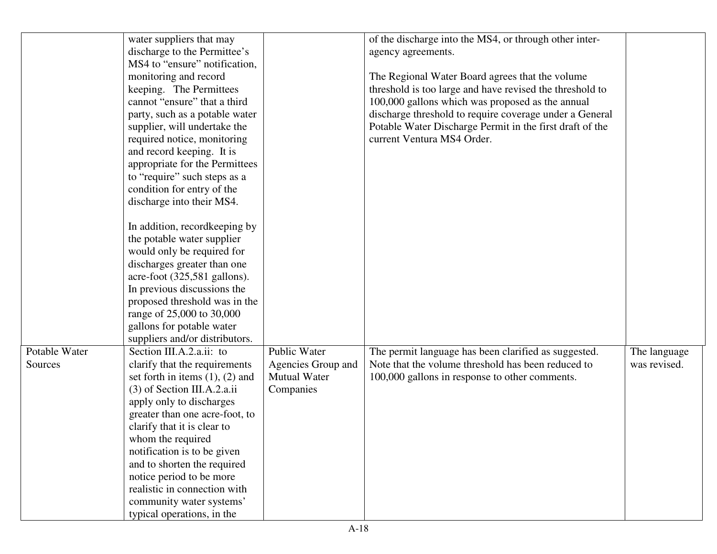|                          | water suppliers that may<br>discharge to the Permittee's<br>MS4 to "ensure" notification,<br>monitoring and record<br>keeping. The Permittees<br>cannot "ensure" that a third<br>party, such as a potable water<br>supplier, will undertake the<br>required notice, monitoring<br>and record keeping. It is<br>appropriate for the Permittees<br>to "require" such steps as a<br>condition for entry of the<br>discharge into their MS4.<br>In addition, record keeping by<br>the potable water supplier<br>would only be required for<br>discharges greater than one<br>acre-foot (325,581 gallons).<br>In previous discussions the<br>proposed threshold was in the |                                                                        | of the discharge into the MS4, or through other inter-<br>agency agreements.<br>The Regional Water Board agrees that the volume<br>threshold is too large and have revised the threshold to<br>100,000 gallons which was proposed as the annual<br>discharge threshold to require coverage under a General<br>Potable Water Discharge Permit in the first draft of the<br>current Ventura MS4 Order. |                              |
|--------------------------|-----------------------------------------------------------------------------------------------------------------------------------------------------------------------------------------------------------------------------------------------------------------------------------------------------------------------------------------------------------------------------------------------------------------------------------------------------------------------------------------------------------------------------------------------------------------------------------------------------------------------------------------------------------------------|------------------------------------------------------------------------|------------------------------------------------------------------------------------------------------------------------------------------------------------------------------------------------------------------------------------------------------------------------------------------------------------------------------------------------------------------------------------------------------|------------------------------|
|                          | range of 25,000 to 30,000<br>gallons for potable water                                                                                                                                                                                                                                                                                                                                                                                                                                                                                                                                                                                                                |                                                                        |                                                                                                                                                                                                                                                                                                                                                                                                      |                              |
|                          | suppliers and/or distributors.                                                                                                                                                                                                                                                                                                                                                                                                                                                                                                                                                                                                                                        |                                                                        |                                                                                                                                                                                                                                                                                                                                                                                                      |                              |
| Potable Water<br>Sources | Section III.A.2.a.ii: to<br>clarify that the requirements<br>set forth in items $(1)$ , $(2)$ and<br>$(3)$ of Section III.A.2.a.ii<br>apply only to discharges<br>greater than one acre-foot, to<br>clarify that it is clear to<br>whom the required<br>notification is to be given<br>and to shorten the required<br>notice period to be more<br>realistic in connection with<br>community water systems'<br>typical operations, in the                                                                                                                                                                                                                              | Public Water<br>Agencies Group and<br><b>Mutual Water</b><br>Companies | The permit language has been clarified as suggested.<br>Note that the volume threshold has been reduced to<br>100,000 gallons in response to other comments.                                                                                                                                                                                                                                         | The language<br>was revised. |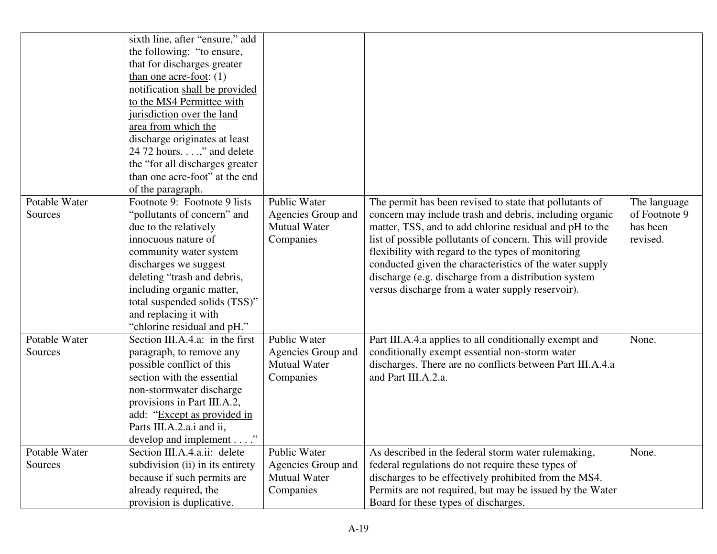|               | sixth line, after "ensure," add  |                     |                                                           |               |
|---------------|----------------------------------|---------------------|-----------------------------------------------------------|---------------|
|               | the following: "to ensure,       |                     |                                                           |               |
|               | that for discharges greater      |                     |                                                           |               |
|               | than one acre-foot: $(1)$        |                     |                                                           |               |
|               | notification shall be provided   |                     |                                                           |               |
|               | to the MS4 Permittee with        |                     |                                                           |               |
|               | jurisdiction over the land       |                     |                                                           |               |
|               | area from which the              |                     |                                                           |               |
|               | discharge originates at least    |                     |                                                           |               |
|               | 24 72 hours," and delete         |                     |                                                           |               |
|               | the "for all discharges greater" |                     |                                                           |               |
|               | than one acre-foot" at the end   |                     |                                                           |               |
|               | of the paragraph.                |                     |                                                           |               |
| Potable Water | Footnote 9: Footnote 9 lists     | Public Water        | The permit has been revised to state that pollutants of   | The language  |
| Sources       | "pollutants of concern" and      | Agencies Group and  | concern may include trash and debris, including organic   | of Footnote 9 |
|               | due to the relatively            | <b>Mutual Water</b> | matter, TSS, and to add chlorine residual and pH to the   | has been      |
|               | innocuous nature of              | Companies           | list of possible pollutants of concern. This will provide | revised.      |
|               | community water system           |                     | flexibility with regard to the types of monitoring        |               |
|               | discharges we suggest            |                     | conducted given the characteristics of the water supply   |               |
|               | deleting "trash and debris,      |                     | discharge (e.g. discharge from a distribution system      |               |
|               | including organic matter,        |                     | versus discharge from a water supply reservoir).          |               |
|               | total suspended solids (TSS)"    |                     |                                                           |               |
|               | and replacing it with            |                     |                                                           |               |
|               | "chlorine residual and pH."      |                     |                                                           |               |
| Potable Water | Section III.A.4.a: in the first  | Public Water        | Part III.A.4.a applies to all conditionally exempt and    | None.         |
| Sources       | paragraph, to remove any         | Agencies Group and  | conditionally exempt essential non-storm water            |               |
|               | possible conflict of this        | <b>Mutual Water</b> | discharges. There are no conflicts between Part III.A.4.a |               |
|               | section with the essential       | Companies           | and Part III.A.2.a.                                       |               |
|               | non-stormwater discharge         |                     |                                                           |               |
|               | provisions in Part III.A.2,      |                     |                                                           |               |
|               | add: "Except as provided in      |                     |                                                           |               |
|               | Parts III.A.2.a.i and ii,        |                     |                                                           |               |
|               | develop and implement'           |                     |                                                           |               |
| Potable Water | Section III.A.4.a.ii: delete     | <b>Public Water</b> | As described in the federal storm water rulemaking,       | None.         |
| Sources       | subdivision (ii) in its entirety | Agencies Group and  | federal regulations do not require these types of         |               |
|               | because if such permits are      | <b>Mutual Water</b> | discharges to be effectively prohibited from the MS4.     |               |
|               | already required, the            | Companies           | Permits are not required, but may be issued by the Water  |               |
|               | provision is duplicative.        |                     | Board for these types of discharges.                      |               |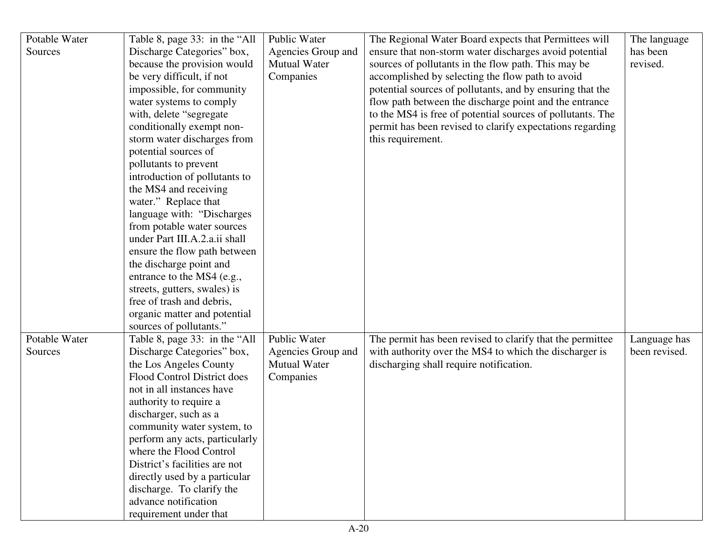| Potable Water | Table 8, page 33: in the "All  | Public Water        | The Regional Water Board expects that Permittees will      | The language  |
|---------------|--------------------------------|---------------------|------------------------------------------------------------|---------------|
| Sources       | Discharge Categories" box,     | Agencies Group and  | ensure that non-storm water discharges avoid potential     | has been      |
|               | because the provision would    | <b>Mutual Water</b> | sources of pollutants in the flow path. This may be        | revised.      |
|               | be very difficult, if not      | Companies           | accomplished by selecting the flow path to avoid           |               |
|               | impossible, for community      |                     | potential sources of pollutants, and by ensuring that the  |               |
|               | water systems to comply        |                     | flow path between the discharge point and the entrance     |               |
|               | with, delete "segregate"       |                     | to the MS4 is free of potential sources of pollutants. The |               |
|               | conditionally exempt non-      |                     | permit has been revised to clarify expectations regarding  |               |
|               | storm water discharges from    |                     | this requirement.                                          |               |
|               | potential sources of           |                     |                                                            |               |
|               | pollutants to prevent          |                     |                                                            |               |
|               | introduction of pollutants to  |                     |                                                            |               |
|               | the MS4 and receiving          |                     |                                                            |               |
|               | water." Replace that           |                     |                                                            |               |
|               | language with: "Discharges"    |                     |                                                            |               |
|               | from potable water sources     |                     |                                                            |               |
|               | under Part III.A.2.a.ii shall  |                     |                                                            |               |
|               | ensure the flow path between   |                     |                                                            |               |
|               | the discharge point and        |                     |                                                            |               |
|               | entrance to the MS4 (e.g.,     |                     |                                                            |               |
|               | streets, gutters, swales) is   |                     |                                                            |               |
|               | free of trash and debris,      |                     |                                                            |               |
|               | organic matter and potential   |                     |                                                            |               |
|               | sources of pollutants."        |                     |                                                            |               |
| Potable Water | Table 8, page 33: in the "All  | Public Water        | The permit has been revised to clarify that the permittee  | Language has  |
| Sources       | Discharge Categories" box,     | Agencies Group and  | with authority over the MS4 to which the discharger is     | been revised. |
|               | the Los Angeles County         | <b>Mutual Water</b> | discharging shall require notification.                    |               |
|               | Flood Control District does    | Companies           |                                                            |               |
|               | not in all instances have      |                     |                                                            |               |
|               | authority to require a         |                     |                                                            |               |
|               | discharger, such as a          |                     |                                                            |               |
|               | community water system, to     |                     |                                                            |               |
|               | perform any acts, particularly |                     |                                                            |               |
|               | where the Flood Control        |                     |                                                            |               |
|               | District's facilities are not  |                     |                                                            |               |
|               | directly used by a particular  |                     |                                                            |               |
|               | discharge. To clarify the      |                     |                                                            |               |
|               | advance notification           |                     |                                                            |               |
|               | requirement under that         |                     |                                                            |               |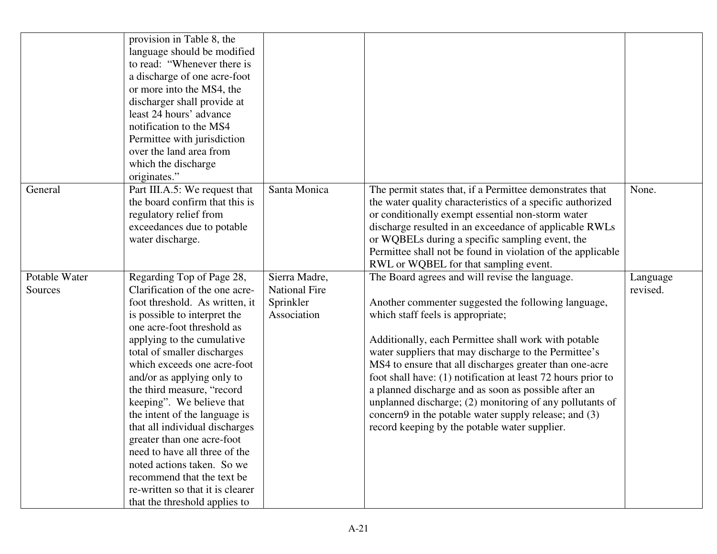|                          | provision in Table 8, the<br>language should be modified<br>to read: "Whenever there is<br>a discharge of one acre-foot<br>or more into the MS4, the<br>discharger shall provide at<br>least 24 hours' advance<br>notification to the MS4<br>Permittee with jurisdiction<br>over the land area from<br>which the discharge<br>originates."                                                                                                                                                                                                                                                                          |                                                                   |                                                                                                                                                                                                                                                                                                                                                                                                                                                                                                                                                                                                                      |                      |
|--------------------------|---------------------------------------------------------------------------------------------------------------------------------------------------------------------------------------------------------------------------------------------------------------------------------------------------------------------------------------------------------------------------------------------------------------------------------------------------------------------------------------------------------------------------------------------------------------------------------------------------------------------|-------------------------------------------------------------------|----------------------------------------------------------------------------------------------------------------------------------------------------------------------------------------------------------------------------------------------------------------------------------------------------------------------------------------------------------------------------------------------------------------------------------------------------------------------------------------------------------------------------------------------------------------------------------------------------------------------|----------------------|
| General                  | Part III.A.5: We request that<br>the board confirm that this is<br>regulatory relief from<br>exceedances due to potable<br>water discharge.                                                                                                                                                                                                                                                                                                                                                                                                                                                                         | Santa Monica                                                      | The permit states that, if a Permittee demonstrates that<br>the water quality characteristics of a specific authorized<br>or conditionally exempt essential non-storm water<br>discharge resulted in an exceedance of applicable RWLs<br>or WQBELs during a specific sampling event, the<br>Permittee shall not be found in violation of the applicable<br>RWL or WQBEL for that sampling event.                                                                                                                                                                                                                     | None.                |
| Potable Water<br>Sources | Regarding Top of Page 28,<br>Clarification of the one acre-<br>foot threshold. As written, it<br>is possible to interpret the<br>one acre-foot threshold as<br>applying to the cumulative<br>total of smaller discharges<br>which exceeds one acre-foot<br>and/or as applying only to<br>the third measure, "record<br>keeping". We believe that<br>the intent of the language is<br>that all individual discharges<br>greater than one acre-foot<br>need to have all three of the<br>noted actions taken. So we<br>recommend that the text be<br>re-written so that it is clearer<br>that the threshold applies to | Sierra Madre,<br><b>National Fire</b><br>Sprinkler<br>Association | The Board agrees and will revise the language.<br>Another commenter suggested the following language,<br>which staff feels is appropriate;<br>Additionally, each Permittee shall work with potable<br>water suppliers that may discharge to the Permittee's<br>MS4 to ensure that all discharges greater than one-acre<br>foot shall have: (1) notification at least 72 hours prior to<br>a planned discharge and as soon as possible after an<br>unplanned discharge; (2) monitoring of any pollutants of<br>concern9 in the potable water supply release; and (3)<br>record keeping by the potable water supplier. | Language<br>revised. |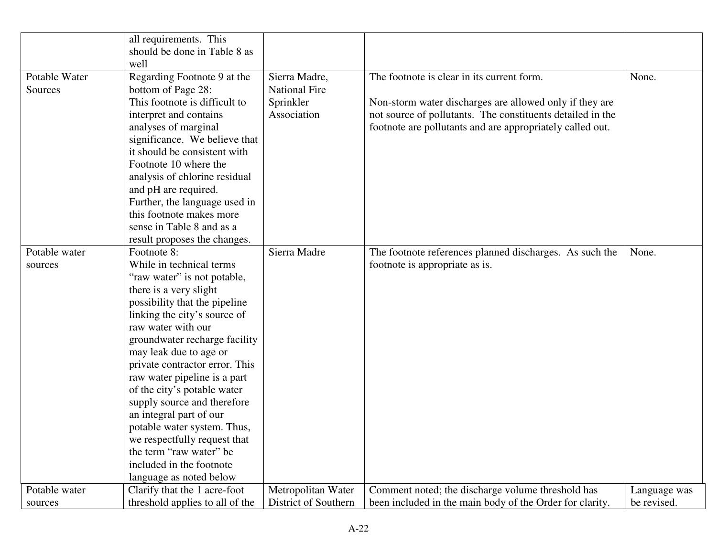|               | all requirements. This          |                      |                                                            |              |
|---------------|---------------------------------|----------------------|------------------------------------------------------------|--------------|
|               | should be done in Table 8 as    |                      |                                                            |              |
|               | well                            |                      |                                                            |              |
| Potable Water | Regarding Footnote 9 at the     | Sierra Madre,        | The footnote is clear in its current form.                 | None.        |
| Sources       | bottom of Page 28:              | <b>National Fire</b> |                                                            |              |
|               | This footnote is difficult to   | Sprinkler            | Non-storm water discharges are allowed only if they are    |              |
|               | interpret and contains          | Association          | not source of pollutants. The constituents detailed in the |              |
|               | analyses of marginal            |                      | footnote are pollutants and are appropriately called out.  |              |
|               | significance. We believe that   |                      |                                                            |              |
|               | it should be consistent with    |                      |                                                            |              |
|               | Footnote 10 where the           |                      |                                                            |              |
|               | analysis of chlorine residual   |                      |                                                            |              |
|               | and pH are required.            |                      |                                                            |              |
|               | Further, the language used in   |                      |                                                            |              |
|               | this footnote makes more        |                      |                                                            |              |
|               | sense in Table 8 and as a       |                      |                                                            |              |
|               | result proposes the changes.    |                      |                                                            |              |
| Potable water | Footnote 8:                     | Sierra Madre         | The footnote references planned discharges. As such the    | None.        |
| sources       | While in technical terms        |                      | footnote is appropriate as is.                             |              |
|               | "raw water" is not potable,     |                      |                                                            |              |
|               | there is a very slight          |                      |                                                            |              |
|               | possibility that the pipeline   |                      |                                                            |              |
|               | linking the city's source of    |                      |                                                            |              |
|               | raw water with our              |                      |                                                            |              |
|               | groundwater recharge facility   |                      |                                                            |              |
|               | may leak due to age or          |                      |                                                            |              |
|               | private contractor error. This  |                      |                                                            |              |
|               | raw water pipeline is a part    |                      |                                                            |              |
|               | of the city's potable water     |                      |                                                            |              |
|               | supply source and therefore     |                      |                                                            |              |
|               | an integral part of our         |                      |                                                            |              |
|               | potable water system. Thus,     |                      |                                                            |              |
|               | we respectfully request that    |                      |                                                            |              |
|               | the term "raw water" be         |                      |                                                            |              |
|               | included in the footnote        |                      |                                                            |              |
|               | language as noted below         |                      |                                                            |              |
| Potable water | Clarify that the 1 acre-foot    | Metropolitan Water   | Comment noted; the discharge volume threshold has          | Language was |
| sources       | threshold applies to all of the | District of Southern | been included in the main body of the Order for clarity.   | be revised.  |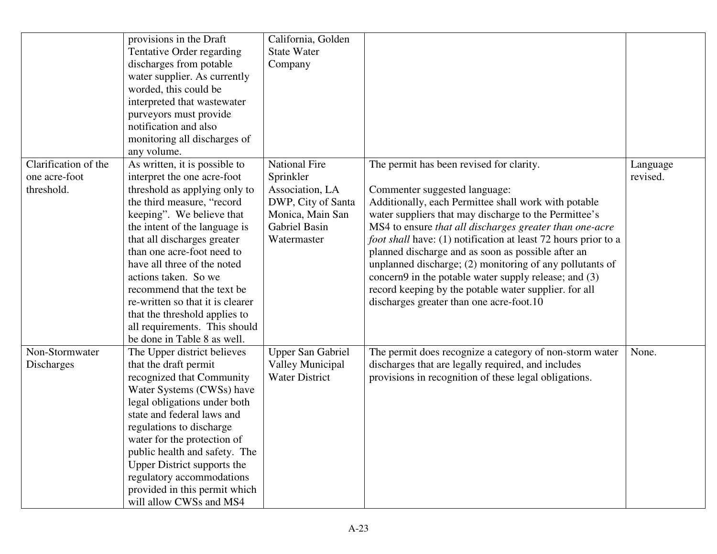|                                                     | provisions in the Draft<br>Tentative Order regarding<br>discharges from potable<br>water supplier. As currently<br>worded, this could be<br>interpreted that wastewater<br>purveyors must provide<br>notification and also<br>monitoring all discharges of<br>any volume.                                                                                                                                                                                                        | California, Golden<br><b>State Water</b><br>Company                                                                            |                                                                                                                                                                                                                                                                                                                                                                                                                                                                                                                                                                                                                |                      |
|-----------------------------------------------------|----------------------------------------------------------------------------------------------------------------------------------------------------------------------------------------------------------------------------------------------------------------------------------------------------------------------------------------------------------------------------------------------------------------------------------------------------------------------------------|--------------------------------------------------------------------------------------------------------------------------------|----------------------------------------------------------------------------------------------------------------------------------------------------------------------------------------------------------------------------------------------------------------------------------------------------------------------------------------------------------------------------------------------------------------------------------------------------------------------------------------------------------------------------------------------------------------------------------------------------------------|----------------------|
| Clarification of the<br>one acre-foot<br>threshold. | As written, it is possible to<br>interpret the one acre-foot<br>threshold as applying only to<br>the third measure, "record<br>keeping". We believe that<br>the intent of the language is<br>that all discharges greater<br>than one acre-foot need to<br>have all three of the noted<br>actions taken. So we<br>recommend that the text be<br>re-written so that it is clearer<br>that the threshold applies to<br>all requirements. This should<br>be done in Table 8 as well. | <b>National Fire</b><br>Sprinkler<br>Association, LA<br>DWP, City of Santa<br>Monica, Main San<br>Gabriel Basin<br>Watermaster | The permit has been revised for clarity.<br>Commenter suggested language:<br>Additionally, each Permittee shall work with potable<br>water suppliers that may discharge to the Permittee's<br>MS4 to ensure that all discharges greater than one-acre<br><i>foot shall</i> have: (1) notification at least 72 hours prior to a<br>planned discharge and as soon as possible after an<br>unplanned discharge; (2) monitoring of any pollutants of<br>concern9 in the potable water supply release; and (3)<br>record keeping by the potable water supplier. for all<br>discharges greater than one acre-foot.10 | Language<br>revised. |
| Non-Stormwater<br>Discharges                        | The Upper district believes<br>that the draft permit<br>recognized that Community<br>Water Systems (CWSs) have<br>legal obligations under both<br>state and federal laws and<br>regulations to discharge<br>water for the protection of<br>public health and safety. The<br><b>Upper District supports the</b><br>regulatory accommodations<br>provided in this permit which<br>will allow CWSs and MS4                                                                          | <b>Upper San Gabriel</b><br>Valley Municipal<br><b>Water District</b>                                                          | The permit does recognize a category of non-storm water<br>discharges that are legally required, and includes<br>provisions in recognition of these legal obligations.                                                                                                                                                                                                                                                                                                                                                                                                                                         | None.                |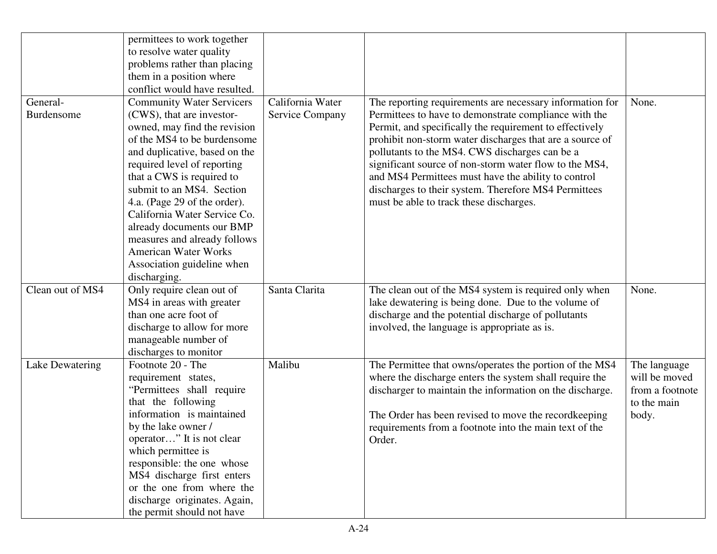|                  | permittees to work together      |                        |                                                          |                 |
|------------------|----------------------------------|------------------------|----------------------------------------------------------|-----------------|
|                  | to resolve water quality         |                        |                                                          |                 |
|                  | problems rather than placing     |                        |                                                          |                 |
|                  | them in a position where         |                        |                                                          |                 |
|                  | conflict would have resulted.    |                        |                                                          |                 |
| General-         | <b>Community Water Servicers</b> | California Water       | The reporting requirements are necessary information for | None.           |
| Burdensome       | (CWS), that are investor-        | <b>Service Company</b> | Permittees to have to demonstrate compliance with the    |                 |
|                  | owned, may find the revision     |                        | Permit, and specifically the requirement to effectively  |                 |
|                  | of the MS4 to be burdensome      |                        | prohibit non-storm water discharges that are a source of |                 |
|                  | and duplicative, based on the    |                        | pollutants to the MS4. CWS discharges can be a           |                 |
|                  | required level of reporting      |                        | significant source of non-storm water flow to the MS4,   |                 |
|                  | that a CWS is required to        |                        | and MS4 Permittees must have the ability to control      |                 |
|                  | submit to an MS4. Section        |                        | discharges to their system. Therefore MS4 Permittees     |                 |
|                  | 4.a. (Page 29 of the order).     |                        | must be able to track these discharges.                  |                 |
|                  | California Water Service Co.     |                        |                                                          |                 |
|                  | already documents our BMP        |                        |                                                          |                 |
|                  | measures and already follows     |                        |                                                          |                 |
|                  | <b>American Water Works</b>      |                        |                                                          |                 |
|                  | Association guideline when       |                        |                                                          |                 |
|                  | discharging.                     |                        |                                                          |                 |
| Clean out of MS4 | Only require clean out of        | Santa Clarita          | The clean out of the MS4 system is required only when    | None.           |
|                  | MS4 in areas with greater        |                        | lake dewatering is being done. Due to the volume of      |                 |
|                  | than one acre foot of            |                        | discharge and the potential discharge of pollutants      |                 |
|                  | discharge to allow for more      |                        | involved, the language is appropriate as is.             |                 |
|                  | manageable number of             |                        |                                                          |                 |
|                  | discharges to monitor            |                        |                                                          |                 |
| Lake Dewatering  | Footnote 20 - The                | Malibu                 | The Permittee that owns/operates the portion of the MS4  | The language    |
|                  | requirement states,              |                        | where the discharge enters the system shall require the  | will be moved   |
|                  | "Permittees shall require        |                        | discharger to maintain the information on the discharge. | from a footnote |
|                  | that the following               |                        |                                                          | to the main     |
|                  | information is maintained        |                        | The Order has been revised to move the recordkeeping     | body.           |
|                  | by the lake owner /              |                        | requirements from a footnote into the main text of the   |                 |
|                  | operator" It is not clear        |                        | Order.                                                   |                 |
|                  | which permittee is               |                        |                                                          |                 |
|                  | responsible: the one whose       |                        |                                                          |                 |
|                  | MS4 discharge first enters       |                        |                                                          |                 |
|                  | or the one from where the        |                        |                                                          |                 |
|                  | discharge originates. Again,     |                        |                                                          |                 |
|                  | the permit should not have       |                        |                                                          |                 |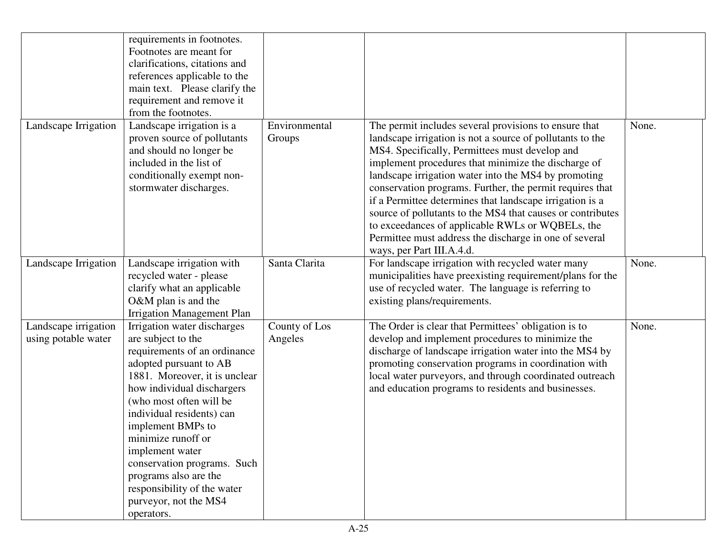|                                             | requirements in footnotes.<br>Footnotes are meant for<br>clarifications, citations and<br>references applicable to the<br>main text. Please clarify the<br>requirement and remove it<br>from the footnotes.                                                                                                                                                                                                                    |                          |                                                                                                                                                                                                                                                                                                                                                                                                                                                                                                                                                                                                                      |       |
|---------------------------------------------|--------------------------------------------------------------------------------------------------------------------------------------------------------------------------------------------------------------------------------------------------------------------------------------------------------------------------------------------------------------------------------------------------------------------------------|--------------------------|----------------------------------------------------------------------------------------------------------------------------------------------------------------------------------------------------------------------------------------------------------------------------------------------------------------------------------------------------------------------------------------------------------------------------------------------------------------------------------------------------------------------------------------------------------------------------------------------------------------------|-------|
| Landscape Irrigation                        | Landscape irrigation is a<br>proven source of pollutants<br>and should no longer be<br>included in the list of<br>conditionally exempt non-<br>stormwater discharges.                                                                                                                                                                                                                                                          | Environmental<br>Groups  | The permit includes several provisions to ensure that<br>landscape irrigation is not a source of pollutants to the<br>MS4. Specifically, Permittees must develop and<br>implement procedures that minimize the discharge of<br>landscape irrigation water into the MS4 by promoting<br>conservation programs. Further, the permit requires that<br>if a Permittee determines that landscape irrigation is a<br>source of pollutants to the MS4 that causes or contributes<br>to exceedances of applicable RWLs or WQBELs, the<br>Permittee must address the discharge in one of several<br>ways, per Part III.A.4.d. | None. |
| Landscape Irrigation                        | Landscape irrigation with<br>recycled water - please<br>clarify what an applicable<br>$O&M$ plan is and the<br><b>Irrigation Management Plan</b>                                                                                                                                                                                                                                                                               | Santa Clarita            | For landscape irrigation with recycled water many<br>municipalities have preexisting requirement/plans for the<br>use of recycled water. The language is referring to<br>existing plans/requirements.                                                                                                                                                                                                                                                                                                                                                                                                                | None. |
| Landscape irrigation<br>using potable water | Irrigation water discharges<br>are subject to the<br>requirements of an ordinance<br>adopted pursuant to AB<br>1881. Moreover, it is unclear<br>how individual dischargers<br>(who most often will be<br>individual residents) can<br>implement BMPs to<br>minimize runoff or<br>implement water<br>conservation programs. Such<br>programs also are the<br>responsibility of the water<br>purveyor, not the MS4<br>operators. | County of Los<br>Angeles | The Order is clear that Permittees' obligation is to<br>develop and implement procedures to minimize the<br>discharge of landscape irrigation water into the MS4 by<br>promoting conservation programs in coordination with<br>local water purveyors, and through coordinated outreach<br>and education programs to residents and businesses.                                                                                                                                                                                                                                                                        | None. |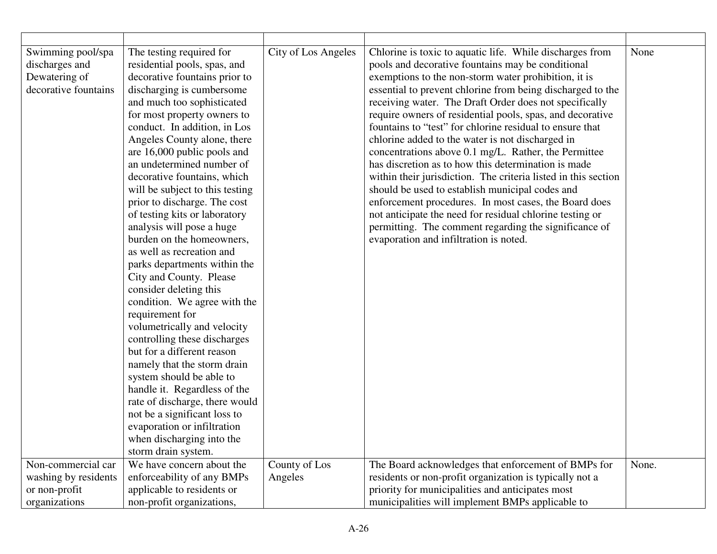| Swimming pool/spa<br>discharges and<br>Dewatering of<br>decorative fountains | The testing required for<br>residential pools, spas, and<br>decorative fountains prior to<br>discharging is cumbersome<br>and much too sophisticated<br>for most property owners to<br>conduct. In addition, in Los<br>Angeles County alone, there<br>are 16,000 public pools and<br>an undetermined number of<br>decorative fountains, which<br>will be subject to this testing<br>prior to discharge. The cost<br>of testing kits or laboratory<br>analysis will pose a huge<br>burden on the homeowners,<br>as well as recreation and<br>parks departments within the<br>City and County. Please<br>consider deleting this<br>condition. We agree with the<br>requirement for<br>volumetrically and velocity<br>controlling these discharges<br>but for a different reason<br>namely that the storm drain<br>system should be able to<br>handle it. Regardless of the<br>rate of discharge, there would<br>not be a significant loss to<br>evaporation or infiltration<br>when discharging into the | City of Los Angeles | Chlorine is toxic to aquatic life. While discharges from<br>pools and decorative fountains may be conditional<br>exemptions to the non-storm water prohibition, it is<br>essential to prevent chlorine from being discharged to the<br>receiving water. The Draft Order does not specifically<br>require owners of residential pools, spas, and decorative<br>fountains to "test" for chlorine residual to ensure that<br>chlorine added to the water is not discharged in<br>concentrations above 0.1 mg/L. Rather, the Permittee<br>has discretion as to how this determination is made<br>within their jurisdiction. The criteria listed in this section<br>should be used to establish municipal codes and<br>enforcement procedures. In most cases, the Board does<br>not anticipate the need for residual chlorine testing or<br>permitting. The comment regarding the significance of<br>evaporation and infiltration is noted. | None  |
|------------------------------------------------------------------------------|--------------------------------------------------------------------------------------------------------------------------------------------------------------------------------------------------------------------------------------------------------------------------------------------------------------------------------------------------------------------------------------------------------------------------------------------------------------------------------------------------------------------------------------------------------------------------------------------------------------------------------------------------------------------------------------------------------------------------------------------------------------------------------------------------------------------------------------------------------------------------------------------------------------------------------------------------------------------------------------------------------|---------------------|----------------------------------------------------------------------------------------------------------------------------------------------------------------------------------------------------------------------------------------------------------------------------------------------------------------------------------------------------------------------------------------------------------------------------------------------------------------------------------------------------------------------------------------------------------------------------------------------------------------------------------------------------------------------------------------------------------------------------------------------------------------------------------------------------------------------------------------------------------------------------------------------------------------------------------------|-------|
|                                                                              | storm drain system.                                                                                                                                                                                                                                                                                                                                                                                                                                                                                                                                                                                                                                                                                                                                                                                                                                                                                                                                                                                    |                     |                                                                                                                                                                                                                                                                                                                                                                                                                                                                                                                                                                                                                                                                                                                                                                                                                                                                                                                                        |       |
| Non-commercial car                                                           | We have concern about the                                                                                                                                                                                                                                                                                                                                                                                                                                                                                                                                                                                                                                                                                                                                                                                                                                                                                                                                                                              | County of Los       | The Board acknowledges that enforcement of BMPs for                                                                                                                                                                                                                                                                                                                                                                                                                                                                                                                                                                                                                                                                                                                                                                                                                                                                                    | None. |
| washing by residents                                                         | enforceability of any BMPs                                                                                                                                                                                                                                                                                                                                                                                                                                                                                                                                                                                                                                                                                                                                                                                                                                                                                                                                                                             | Angeles             | residents or non-profit organization is typically not a                                                                                                                                                                                                                                                                                                                                                                                                                                                                                                                                                                                                                                                                                                                                                                                                                                                                                |       |
| or non-profit                                                                | applicable to residents or                                                                                                                                                                                                                                                                                                                                                                                                                                                                                                                                                                                                                                                                                                                                                                                                                                                                                                                                                                             |                     | priority for municipalities and anticipates most                                                                                                                                                                                                                                                                                                                                                                                                                                                                                                                                                                                                                                                                                                                                                                                                                                                                                       |       |
| organizations                                                                | non-profit organizations,                                                                                                                                                                                                                                                                                                                                                                                                                                                                                                                                                                                                                                                                                                                                                                                                                                                                                                                                                                              |                     | municipalities will implement BMPs applicable to                                                                                                                                                                                                                                                                                                                                                                                                                                                                                                                                                                                                                                                                                                                                                                                                                                                                                       |       |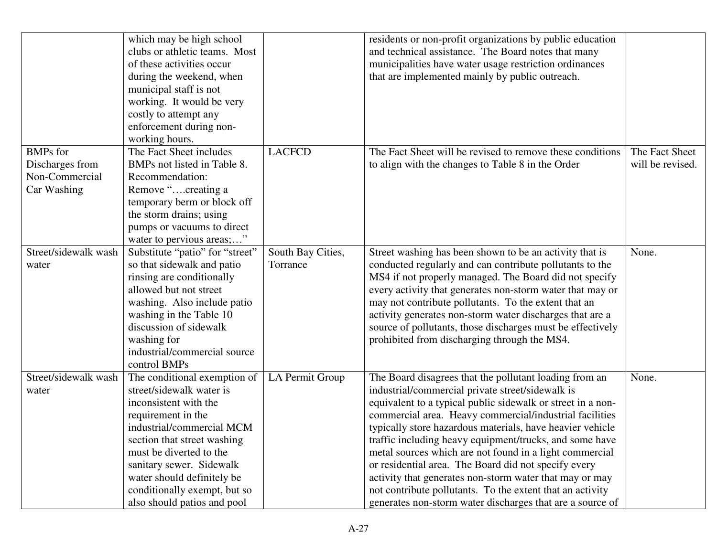|                                                                     | which may be high school<br>clubs or athletic teams. Most<br>of these activities occur<br>during the weekend, when<br>municipal staff is not<br>working. It would be very<br>costly to attempt any<br>enforcement during non-<br>working hours.                                                                         |                               | residents or non-profit organizations by public education<br>and technical assistance. The Board notes that many<br>municipalities have water usage restriction ordinances<br>that are implemented mainly by public outreach.                                                                                                                                                                                                                                                                                                                                                                                                                                        |                                    |
|---------------------------------------------------------------------|-------------------------------------------------------------------------------------------------------------------------------------------------------------------------------------------------------------------------------------------------------------------------------------------------------------------------|-------------------------------|----------------------------------------------------------------------------------------------------------------------------------------------------------------------------------------------------------------------------------------------------------------------------------------------------------------------------------------------------------------------------------------------------------------------------------------------------------------------------------------------------------------------------------------------------------------------------------------------------------------------------------------------------------------------|------------------------------------|
| <b>BMPs</b> for<br>Discharges from<br>Non-Commercial<br>Car Washing | The Fact Sheet includes<br>BMPs not listed in Table 8.<br>Recommendation:<br>Remove "creating a<br>temporary berm or block off<br>the storm drains; using<br>pumps or vacuums to direct<br>water to pervious areas;"                                                                                                    | <b>LACFCD</b>                 | The Fact Sheet will be revised to remove these conditions<br>to align with the changes to Table 8 in the Order                                                                                                                                                                                                                                                                                                                                                                                                                                                                                                                                                       | The Fact Sheet<br>will be revised. |
| Street/sidewalk wash<br>water                                       | Substitute "patio" for "street"<br>so that sidewalk and patio<br>rinsing are conditionally<br>allowed but not street<br>washing. Also include patio<br>washing in the Table 10<br>discussion of sidewalk<br>washing for<br>industrial/commercial source<br>control BMPs                                                 | South Bay Cities,<br>Torrance | Street washing has been shown to be an activity that is<br>conducted regularly and can contribute pollutants to the<br>MS4 if not properly managed. The Board did not specify<br>every activity that generates non-storm water that may or<br>may not contribute pollutants. To the extent that an<br>activity generates non-storm water discharges that are a<br>source of pollutants, those discharges must be effectively<br>prohibited from discharging through the MS4.                                                                                                                                                                                         | None.                              |
| Street/sidewalk wash<br>water                                       | The conditional exemption of<br>street/sidewalk water is<br>inconsistent with the<br>requirement in the<br>industrial/commercial MCM<br>section that street washing<br>must be diverted to the<br>sanitary sewer. Sidewalk<br>water should definitely be<br>conditionally exempt, but so<br>also should patios and pool | LA Permit Group               | The Board disagrees that the pollutant loading from an<br>industrial/commercial private street/sidewalk is<br>equivalent to a typical public sidewalk or street in a non-<br>commercial area. Heavy commercial/industrial facilities<br>typically store hazardous materials, have heavier vehicle<br>traffic including heavy equipment/trucks, and some have<br>metal sources which are not found in a light commercial<br>or residential area. The Board did not specify every<br>activity that generates non-storm water that may or may<br>not contribute pollutants. To the extent that an activity<br>generates non-storm water discharges that are a source of | None.                              |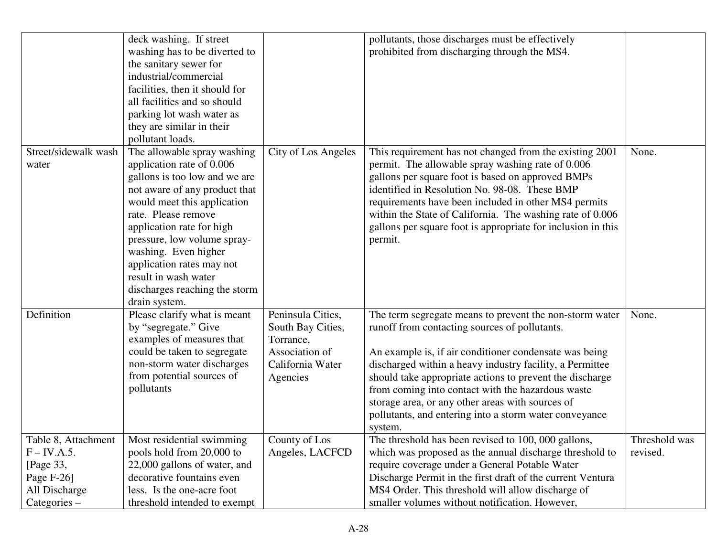|                                                                                                        | deck washing. If street<br>washing has to be diverted to<br>the sanitary sewer for<br>industrial/commercial<br>facilities, then it should for<br>all facilities and so should<br>parking lot wash water as<br>they are similar in their                                                                                                                                                         |                                                                                                       | pollutants, those discharges must be effectively<br>prohibited from discharging through the MS4.                                                                                                                                                                                                                                                                                                                                                                         |                           |
|--------------------------------------------------------------------------------------------------------|-------------------------------------------------------------------------------------------------------------------------------------------------------------------------------------------------------------------------------------------------------------------------------------------------------------------------------------------------------------------------------------------------|-------------------------------------------------------------------------------------------------------|--------------------------------------------------------------------------------------------------------------------------------------------------------------------------------------------------------------------------------------------------------------------------------------------------------------------------------------------------------------------------------------------------------------------------------------------------------------------------|---------------------------|
| Street/sidewalk wash<br>water                                                                          | pollutant loads.<br>The allowable spray washing<br>application rate of 0.006<br>gallons is too low and we are<br>not aware of any product that<br>would meet this application<br>rate. Please remove<br>application rate for high<br>pressure, low volume spray-<br>washing. Even higher<br>application rates may not<br>result in wash water<br>discharges reaching the storm<br>drain system. | City of Los Angeles                                                                                   | This requirement has not changed from the existing 2001<br>permit. The allowable spray washing rate of 0.006<br>gallons per square foot is based on approved BMPs<br>identified in Resolution No. 98-08. These BMP<br>requirements have been included in other MS4 permits<br>within the State of California. The washing rate of 0.006<br>gallons per square foot is appropriate for inclusion in this<br>permit.                                                       | None.                     |
| Definition                                                                                             | Please clarify what is meant<br>by "segregate." Give<br>examples of measures that<br>could be taken to segregate<br>non-storm water discharges<br>from potential sources of<br>pollutants                                                                                                                                                                                                       | Peninsula Cities,<br>South Bay Cities,<br>Torrance,<br>Association of<br>California Water<br>Agencies | The term segregate means to prevent the non-storm water<br>runoff from contacting sources of pollutants.<br>An example is, if air conditioner condensate was being<br>discharged within a heavy industry facility, a Permittee<br>should take appropriate actions to prevent the discharge<br>from coming into contact with the hazardous waste<br>storage area, or any other areas with sources of<br>pollutants, and entering into a storm water conveyance<br>system. | None.                     |
| Table 8, Attachment<br>$F$ – IV.A.5.<br>[Page 33,<br>Page $F-26$ ]<br>All Discharge<br>$Categorical -$ | Most residential swimming<br>pools hold from 20,000 to<br>22,000 gallons of water, and<br>decorative fountains even<br>less. Is the one-acre foot<br>threshold intended to exempt                                                                                                                                                                                                               | County of Los<br>Angeles, LACFCD                                                                      | The threshold has been revised to 100, 000 gallons,<br>which was proposed as the annual discharge threshold to<br>require coverage under a General Potable Water<br>Discharge Permit in the first draft of the current Ventura<br>MS4 Order. This threshold will allow discharge of<br>smaller volumes without notification. However,                                                                                                                                    | Threshold was<br>revised. |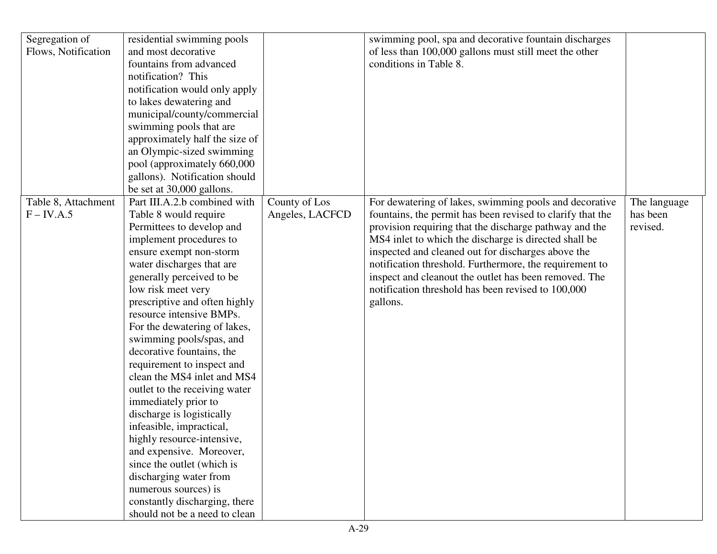| Segregation of      | residential swimming pools     |                 | swimming pool, spa and decorative fountain discharges      |              |
|---------------------|--------------------------------|-----------------|------------------------------------------------------------|--------------|
| Flows, Notification | and most decorative            |                 | of less than 100,000 gallons must still meet the other     |              |
|                     | fountains from advanced        |                 | conditions in Table 8.                                     |              |
|                     | notification? This             |                 |                                                            |              |
|                     | notification would only apply  |                 |                                                            |              |
|                     | to lakes dewatering and        |                 |                                                            |              |
|                     | municipal/county/commercial    |                 |                                                            |              |
|                     | swimming pools that are        |                 |                                                            |              |
|                     | approximately half the size of |                 |                                                            |              |
|                     | an Olympic-sized swimming      |                 |                                                            |              |
|                     | pool (approximately 660,000    |                 |                                                            |              |
|                     | gallons). Notification should  |                 |                                                            |              |
|                     | be set at 30,000 gallons.      |                 |                                                            |              |
| Table 8, Attachment | Part III.A.2.b combined with   | County of Los   | For dewatering of lakes, swimming pools and decorative     | The language |
| $F$ – IV.A.5        | Table 8 would require          | Angeles, LACFCD | fountains, the permit has been revised to clarify that the | has been     |
|                     | Permittees to develop and      |                 | provision requiring that the discharge pathway and the     | revised.     |
|                     | implement procedures to        |                 | MS4 inlet to which the discharge is directed shall be      |              |
|                     | ensure exempt non-storm        |                 | inspected and cleaned out for discharges above the         |              |
|                     | water discharges that are      |                 | notification threshold. Furthermore, the requirement to    |              |
|                     | generally perceived to be      |                 | inspect and cleanout the outlet has been removed. The      |              |
|                     | low risk meet very             |                 | notification threshold has been revised to 100,000         |              |
|                     | prescriptive and often highly  |                 | gallons.                                                   |              |
|                     | resource intensive BMPs.       |                 |                                                            |              |
|                     | For the dewatering of lakes,   |                 |                                                            |              |
|                     | swimming pools/spas, and       |                 |                                                            |              |
|                     | decorative fountains, the      |                 |                                                            |              |
|                     | requirement to inspect and     |                 |                                                            |              |
|                     | clean the MS4 inlet and MS4    |                 |                                                            |              |
|                     | outlet to the receiving water  |                 |                                                            |              |
|                     | immediately prior to           |                 |                                                            |              |
|                     | discharge is logistically      |                 |                                                            |              |
|                     | infeasible, impractical,       |                 |                                                            |              |
|                     | highly resource-intensive,     |                 |                                                            |              |
|                     | and expensive. Moreover,       |                 |                                                            |              |
|                     | since the outlet (which is     |                 |                                                            |              |
|                     | discharging water from         |                 |                                                            |              |
|                     | numerous sources) is           |                 |                                                            |              |
|                     | constantly discharging, there  |                 |                                                            |              |
|                     | should not be a need to clean  |                 |                                                            |              |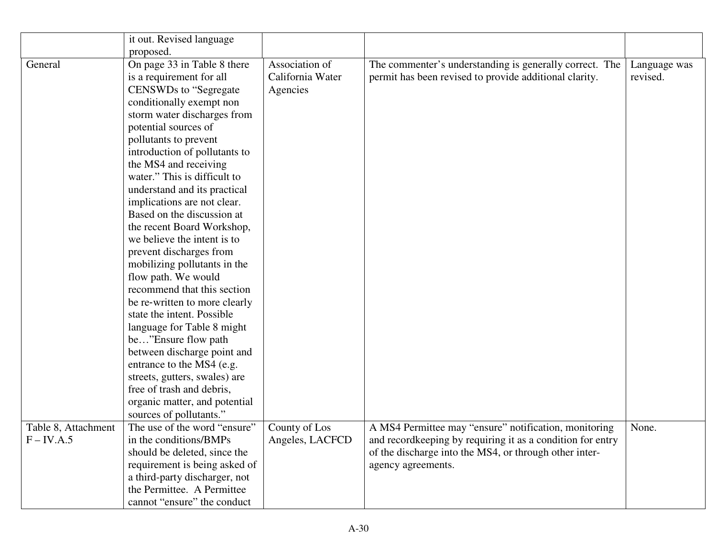|                     | it out. Revised language      |                  |                                                            |              |
|---------------------|-------------------------------|------------------|------------------------------------------------------------|--------------|
|                     | proposed.                     |                  |                                                            |              |
| General             | On page 33 in Table 8 there   | Association of   | The commenter's understanding is generally correct. The    | Language was |
|                     | is a requirement for all      | California Water | permit has been revised to provide additional clarity.     | revised.     |
|                     | <b>CENSWDs</b> to "Segregate" | Agencies         |                                                            |              |
|                     | conditionally exempt non      |                  |                                                            |              |
|                     | storm water discharges from   |                  |                                                            |              |
|                     | potential sources of          |                  |                                                            |              |
|                     | pollutants to prevent         |                  |                                                            |              |
|                     | introduction of pollutants to |                  |                                                            |              |
|                     | the MS4 and receiving         |                  |                                                            |              |
|                     | water." This is difficult to  |                  |                                                            |              |
|                     | understand and its practical  |                  |                                                            |              |
|                     | implications are not clear.   |                  |                                                            |              |
|                     | Based on the discussion at    |                  |                                                            |              |
|                     | the recent Board Workshop,    |                  |                                                            |              |
|                     | we believe the intent is to   |                  |                                                            |              |
|                     | prevent discharges from       |                  |                                                            |              |
|                     | mobilizing pollutants in the  |                  |                                                            |              |
|                     | flow path. We would           |                  |                                                            |              |
|                     | recommend that this section   |                  |                                                            |              |
|                     | be re-written to more clearly |                  |                                                            |              |
|                     | state the intent. Possible    |                  |                                                            |              |
|                     | language for Table 8 might    |                  |                                                            |              |
|                     | be"Ensure flow path           |                  |                                                            |              |
|                     | between discharge point and   |                  |                                                            |              |
|                     | entrance to the MS4 (e.g.     |                  |                                                            |              |
|                     | streets, gutters, swales) are |                  |                                                            |              |
|                     | free of trash and debris,     |                  |                                                            |              |
|                     | organic matter, and potential |                  |                                                            |              |
|                     | sources of pollutants."       |                  |                                                            |              |
| Table 8, Attachment | The use of the word "ensure"  | County of Los    | A MS4 Permittee may "ensure" notification, monitoring      | None.        |
| F – IV.A.5          | in the conditions/BMPs        | Angeles, LACFCD  | and recordkeeping by requiring it as a condition for entry |              |
|                     | should be deleted, since the  |                  | of the discharge into the MS4, or through other inter-     |              |
|                     | requirement is being asked of |                  | agency agreements.                                         |              |
|                     | a third-party discharger, not |                  |                                                            |              |
|                     | the Permittee. A Permittee    |                  |                                                            |              |
|                     | cannot "ensure" the conduct   |                  |                                                            |              |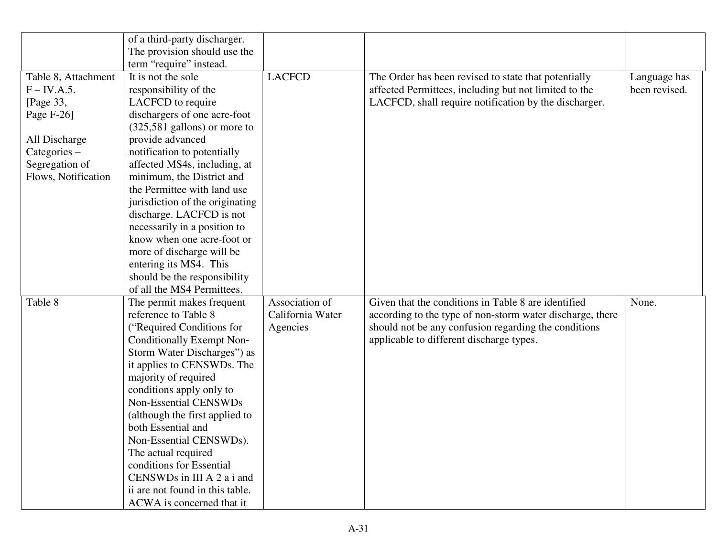|                                                                                                                                           | of a third-party discharger.<br>The provision should use the                                                                                                                                                                                                                                                                                                                                                                                                                                                                                                   |                                                |                                                                                                                                                                                                                      |                               |
|-------------------------------------------------------------------------------------------------------------------------------------------|----------------------------------------------------------------------------------------------------------------------------------------------------------------------------------------------------------------------------------------------------------------------------------------------------------------------------------------------------------------------------------------------------------------------------------------------------------------------------------------------------------------------------------------------------------------|------------------------------------------------|----------------------------------------------------------------------------------------------------------------------------------------------------------------------------------------------------------------------|-------------------------------|
| Table 8, Attachment<br>$F$ – IV.A.5.<br>[Page 33,<br>Page F-26]<br>All Discharge<br>Categories –<br>Segregation of<br>Flows, Notification | term "require" instead.<br>It is not the sole<br>responsibility of the<br>LACFCD to require<br>dischargers of one acre-foot<br>$(325,581$ gallons) or more to<br>provide advanced<br>notification to potentially<br>affected MS4s, including, at<br>minimum, the District and<br>the Permittee with land use<br>jurisdiction of the originating<br>discharge. LACFCD is not<br>necessarily in a position to<br>know when one acre-foot or<br>more of discharge will be<br>entering its MS4. This<br>should be the responsibility<br>of all the MS4 Permittees. | <b>LACFCD</b>                                  | The Order has been revised to state that potentially<br>affected Permittees, including but not limited to the<br>LACFCD, shall require notification by the discharger.                                               | Language has<br>been revised. |
| Table 8                                                                                                                                   | The permit makes frequent<br>reference to Table 8<br>("Required Conditions for<br><b>Conditionally Exempt Non-</b><br>Storm Water Discharges") as<br>it applies to CENSWDs. The<br>majority of required<br>conditions apply only to<br>Non-Essential CENSWDs<br>(although the first applied to<br>both Essential and<br>Non-Essential CENSWDs).<br>The actual required<br>conditions for Essential<br>CENSWDs in III A 2 a i and<br>ii are not found in this table.<br>ACWA is concerned that it                                                               | Association of<br>California Water<br>Agencies | Given that the conditions in Table 8 are identified<br>according to the type of non-storm water discharge, there<br>should not be any confusion regarding the conditions<br>applicable to different discharge types. | None.                         |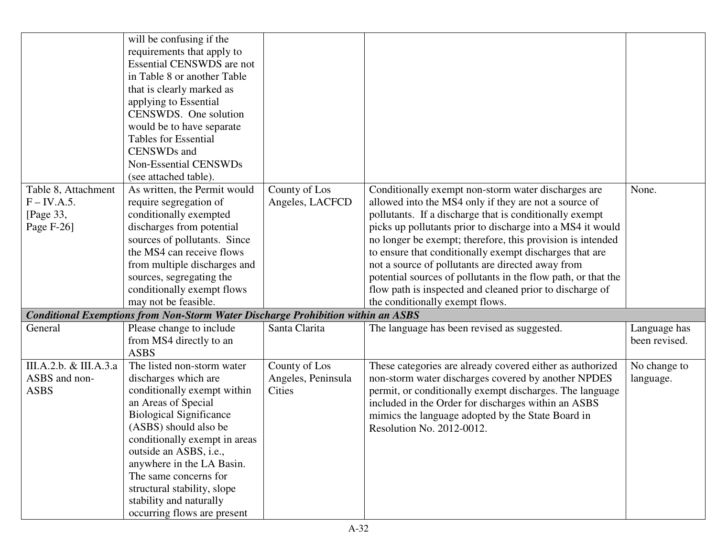|                                                                               | will be confusing if the<br>requirements that apply to<br><b>Essential CENSWDS</b> are not<br>in Table 8 or another Table<br>that is clearly marked as<br>applying to Essential<br>CENSWDS. One solution<br>would be to have separate<br><b>Tables for Essential</b><br>CENSWDs and                                                                                                                                                                                     |                                                      |                                                                                                                                                                                                                                                                                                                                                                                                                                                                                                                                                                                                                                    |                                        |
|-------------------------------------------------------------------------------|-------------------------------------------------------------------------------------------------------------------------------------------------------------------------------------------------------------------------------------------------------------------------------------------------------------------------------------------------------------------------------------------------------------------------------------------------------------------------|------------------------------------------------------|------------------------------------------------------------------------------------------------------------------------------------------------------------------------------------------------------------------------------------------------------------------------------------------------------------------------------------------------------------------------------------------------------------------------------------------------------------------------------------------------------------------------------------------------------------------------------------------------------------------------------------|----------------------------------------|
|                                                                               | Non-Essential CENSWDs                                                                                                                                                                                                                                                                                                                                                                                                                                                   |                                                      |                                                                                                                                                                                                                                                                                                                                                                                                                                                                                                                                                                                                                                    |                                        |
| Table 8, Attachment<br>$F$ – IV.A.5.<br>[Page 33,<br>Page $F-26$ ]<br>General | (see attached table).<br>As written, the Permit would<br>require segregation of<br>conditionally exempted<br>discharges from potential<br>sources of pollutants. Since<br>the MS4 can receive flows<br>from multiple discharges and<br>sources, segregating the<br>conditionally exempt flows<br>may not be feasible.<br><b>Conditional Exemptions from Non-Storm Water Discharge Prohibition within an ASBS</b><br>Please change to include<br>from MS4 directly to an | County of Los<br>Angeles, LACFCD<br>Santa Clarita    | Conditionally exempt non-storm water discharges are<br>allowed into the MS4 only if they are not a source of<br>pollutants. If a discharge that is conditionally exempt<br>picks up pollutants prior to discharge into a MS4 it would<br>no longer be exempt; therefore, this provision is intended<br>to ensure that conditionally exempt discharges that are<br>not a source of pollutants are directed away from<br>potential sources of pollutants in the flow path, or that the<br>flow path is inspected and cleaned prior to discharge of<br>the conditionally exempt flows.<br>The language has been revised as suggested. | None.<br>Language has<br>been revised. |
|                                                                               | <b>ASBS</b>                                                                                                                                                                                                                                                                                                                                                                                                                                                             |                                                      |                                                                                                                                                                                                                                                                                                                                                                                                                                                                                                                                                                                                                                    |                                        |
| III.A.2.b. & III.A.3.a<br>ASBS and non-<br><b>ASBS</b>                        | The listed non-storm water<br>discharges which are<br>conditionally exempt within<br>an Areas of Special<br><b>Biological Significance</b><br>(ASBS) should also be<br>conditionally exempt in areas<br>outside an ASBS, i.e.,<br>anywhere in the LA Basin.<br>The same concerns for<br>structural stability, slope<br>stability and naturally<br>occurring flows are present                                                                                           | County of Los<br>Angeles, Peninsula<br><b>Cities</b> | These categories are already covered either as authorized<br>non-storm water discharges covered by another NPDES<br>permit, or conditionally exempt discharges. The language<br>included in the Order for discharges within an ASBS<br>mimics the language adopted by the State Board in<br>Resolution No. 2012-0012.                                                                                                                                                                                                                                                                                                              | No change to<br>language.              |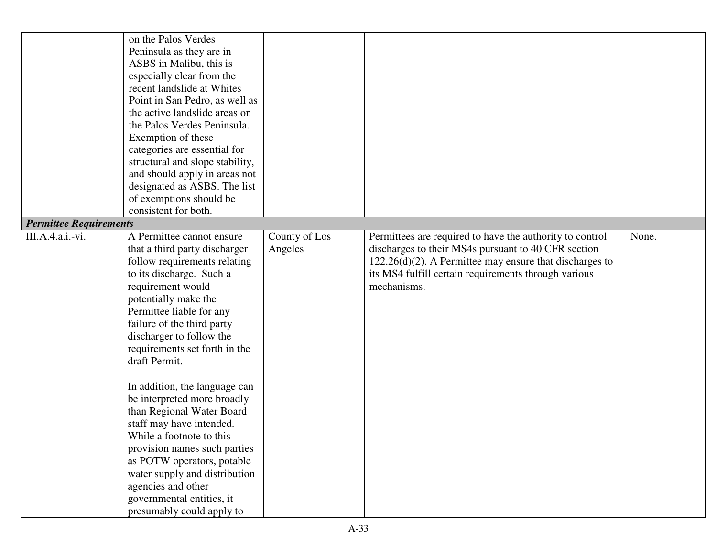|                               | on the Palos Verdes<br>Peninsula as they are in<br>ASBS in Malibu, this is<br>especially clear from the<br>recent landslide at Whites<br>Point in San Pedro, as well as<br>the active landslide areas on<br>the Palos Verdes Peninsula.<br>Exemption of these<br>categories are essential for                                    |               |                                                                                                                                                                                          |       |
|-------------------------------|----------------------------------------------------------------------------------------------------------------------------------------------------------------------------------------------------------------------------------------------------------------------------------------------------------------------------------|---------------|------------------------------------------------------------------------------------------------------------------------------------------------------------------------------------------|-------|
|                               | structural and slope stability,<br>and should apply in areas not                                                                                                                                                                                                                                                                 |               |                                                                                                                                                                                          |       |
|                               | designated as ASBS. The list                                                                                                                                                                                                                                                                                                     |               |                                                                                                                                                                                          |       |
|                               | of exemptions should be                                                                                                                                                                                                                                                                                                          |               |                                                                                                                                                                                          |       |
| <b>Permittee Requirements</b> | consistent for both.                                                                                                                                                                                                                                                                                                             |               |                                                                                                                                                                                          |       |
| III.A.4.a.i.-vi.              | A Permittee cannot ensure                                                                                                                                                                                                                                                                                                        | County of Los | Permittees are required to have the authority to control                                                                                                                                 | None. |
|                               | that a third party discharger<br>follow requirements relating<br>to its discharge. Such a<br>requirement would<br>potentially make the<br>Permittee liable for any<br>failure of the third party<br>discharger to follow the<br>requirements set forth in the<br>draft Permit.                                                   | Angeles       | discharges to their MS4s pursuant to 40 CFR section<br>$122.26(d)(2)$ . A Permittee may ensure that discharges to<br>its MS4 fulfill certain requirements through various<br>mechanisms. |       |
|                               | In addition, the language can<br>be interpreted more broadly<br>than Regional Water Board<br>staff may have intended.<br>While a footnote to this<br>provision names such parties<br>as POTW operators, potable<br>water supply and distribution<br>agencies and other<br>governmental entities, it<br>presumably could apply to |               |                                                                                                                                                                                          |       |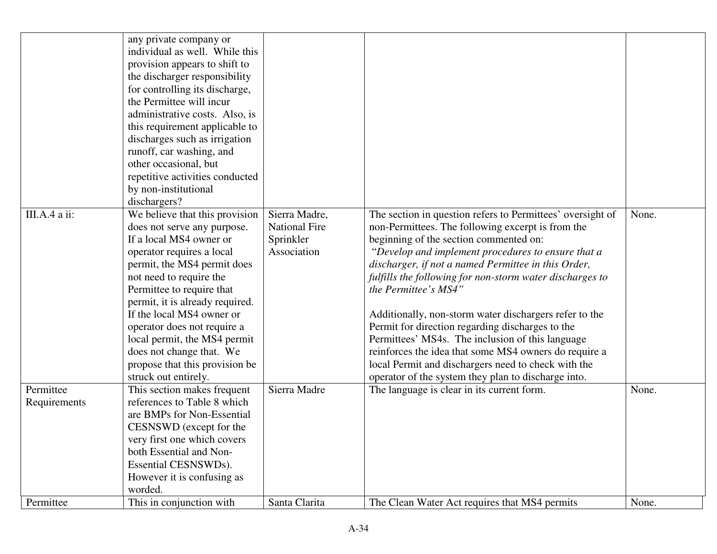|                           | any private company or<br>individual as well. While this<br>provision appears to shift to<br>the discharger responsibility<br>for controlling its discharge,<br>the Permittee will incur<br>administrative costs. Also, is<br>this requirement applicable to<br>discharges such as irrigation<br>runoff, car washing, and<br>other occasional, but<br>repetitive activities conducted<br>by non-institutional<br>dischargers?     |                                                                   |                                                                                                                                                                                                                                                                                                                                                                                                                                                                                                                                                                                                                                                                                                     |       |
|---------------------------|-----------------------------------------------------------------------------------------------------------------------------------------------------------------------------------------------------------------------------------------------------------------------------------------------------------------------------------------------------------------------------------------------------------------------------------|-------------------------------------------------------------------|-----------------------------------------------------------------------------------------------------------------------------------------------------------------------------------------------------------------------------------------------------------------------------------------------------------------------------------------------------------------------------------------------------------------------------------------------------------------------------------------------------------------------------------------------------------------------------------------------------------------------------------------------------------------------------------------------------|-------|
| III.A.4 a ii:             | We believe that this provision<br>does not serve any purpose.<br>If a local MS4 owner or<br>operator requires a local<br>permit, the MS4 permit does<br>not need to require the<br>Permittee to require that<br>permit, it is already required.<br>If the local MS4 owner or<br>operator does not require a<br>local permit, the MS4 permit<br>does not change that. We<br>propose that this provision be<br>struck out entirely. | Sierra Madre,<br><b>National Fire</b><br>Sprinkler<br>Association | The section in question refers to Permittees' oversight of<br>non-Permittees. The following excerpt is from the<br>beginning of the section commented on:<br>"Develop and implement procedures to ensure that a<br>discharger, if not a named Permittee in this Order,<br>fulfills the following for non-storm water discharges to<br>the Permittee's MS4"<br>Additionally, non-storm water dischargers refer to the<br>Permit for direction regarding discharges to the<br>Permittees' MS4s. The inclusion of this language<br>reinforces the idea that some MS4 owners do require a<br>local Permit and dischargers need to check with the<br>operator of the system they plan to discharge into. | None. |
| Permittee<br>Requirements | This section makes frequent<br>references to Table 8 which<br>are BMPs for Non-Essential<br>CESNSWD (except for the<br>very first one which covers<br>both Essential and Non-<br>Essential CESNSWDs).<br>However it is confusing as<br>worded.                                                                                                                                                                                    | Sierra Madre                                                      | The language is clear in its current form.                                                                                                                                                                                                                                                                                                                                                                                                                                                                                                                                                                                                                                                          | None. |
| Permittee                 | This in conjunction with                                                                                                                                                                                                                                                                                                                                                                                                          | Santa Clarita                                                     | The Clean Water Act requires that MS4 permits                                                                                                                                                                                                                                                                                                                                                                                                                                                                                                                                                                                                                                                       | None. |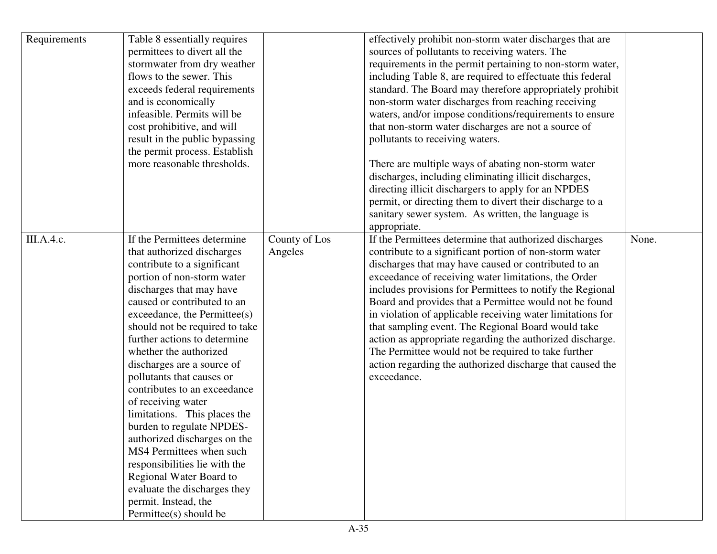| Requirements | Table 8 essentially requires<br>permittees to divert all the<br>stormwater from dry weather<br>flows to the sewer. This<br>exceeds federal requirements<br>and is economically<br>infeasible. Permits will be<br>cost prohibitive, and will<br>result in the public bypassing<br>the permit process. Establish<br>more reasonable thresholds.                                                                                                                                                                                                                                                                                                                                                         |                          | effectively prohibit non-storm water discharges that are<br>sources of pollutants to receiving waters. The<br>requirements in the permit pertaining to non-storm water,<br>including Table 8, are required to effectuate this federal<br>standard. The Board may therefore appropriately prohibit<br>non-storm water discharges from reaching receiving<br>waters, and/or impose conditions/requirements to ensure<br>that non-storm water discharges are not a source of<br>pollutants to receiving waters.<br>There are multiple ways of abating non-storm water<br>discharges, including eliminating illicit discharges,<br>directing illicit dischargers to apply for an NPDES<br>permit, or directing them to divert their discharge to a<br>sanitary sewer system. As written, the language is<br>appropriate. |       |
|--------------|-------------------------------------------------------------------------------------------------------------------------------------------------------------------------------------------------------------------------------------------------------------------------------------------------------------------------------------------------------------------------------------------------------------------------------------------------------------------------------------------------------------------------------------------------------------------------------------------------------------------------------------------------------------------------------------------------------|--------------------------|----------------------------------------------------------------------------------------------------------------------------------------------------------------------------------------------------------------------------------------------------------------------------------------------------------------------------------------------------------------------------------------------------------------------------------------------------------------------------------------------------------------------------------------------------------------------------------------------------------------------------------------------------------------------------------------------------------------------------------------------------------------------------------------------------------------------|-------|
| III.A.4.c.   | If the Permittees determine<br>that authorized discharges<br>contribute to a significant<br>portion of non-storm water<br>discharges that may have<br>caused or contributed to an<br>exceedance, the Permittee(s)<br>should not be required to take<br>further actions to determine<br>whether the authorized<br>discharges are a source of<br>pollutants that causes or<br>contributes to an exceedance<br>of receiving water<br>limitations. This places the<br>burden to regulate NPDES-<br>authorized discharges on the<br>MS4 Permittees when such<br>responsibilities lie with the<br>Regional Water Board to<br>evaluate the discharges they<br>permit. Instead, the<br>Permittee(s) should be | County of Los<br>Angeles | If the Permittees determine that authorized discharges<br>contribute to a significant portion of non-storm water<br>discharges that may have caused or contributed to an<br>exceedance of receiving water limitations, the Order<br>includes provisions for Permittees to notify the Regional<br>Board and provides that a Permittee would not be found<br>in violation of applicable receiving water limitations for<br>that sampling event. The Regional Board would take<br>action as appropriate regarding the authorized discharge.<br>The Permittee would not be required to take further<br>action regarding the authorized discharge that caused the<br>exceedance.                                                                                                                                          | None. |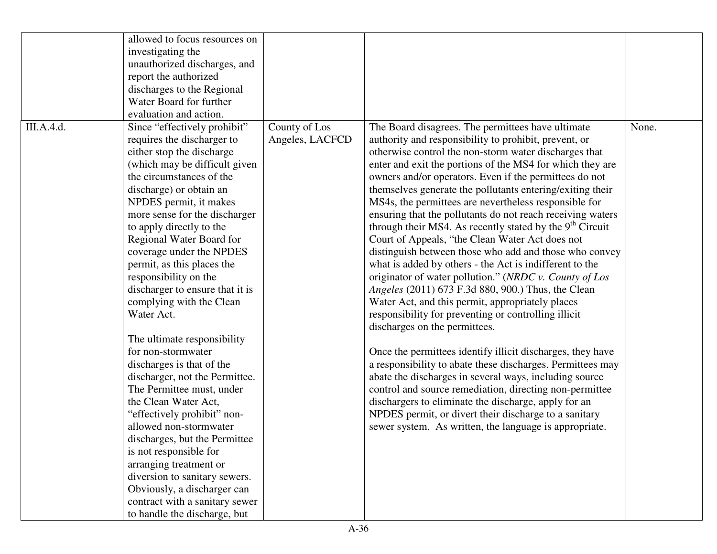|            | allowed to focus resources on   |                 |                                                                      |       |
|------------|---------------------------------|-----------------|----------------------------------------------------------------------|-------|
|            | investigating the               |                 |                                                                      |       |
|            | unauthorized discharges, and    |                 |                                                                      |       |
|            | report the authorized           |                 |                                                                      |       |
|            | discharges to the Regional      |                 |                                                                      |       |
|            | Water Board for further         |                 |                                                                      |       |
|            | evaluation and action.          |                 |                                                                      |       |
| III.A.4.d. | Since "effectively prohibit"    | County of Los   | The Board disagrees. The permittees have ultimate                    | None. |
|            | requires the discharger to      | Angeles, LACFCD | authority and responsibility to prohibit, prevent, or                |       |
|            | either stop the discharge       |                 | otherwise control the non-storm water discharges that                |       |
|            | (which may be difficult given   |                 | enter and exit the portions of the MS4 for which they are            |       |
|            | the circumstances of the        |                 | owners and/or operators. Even if the permittees do not               |       |
|            | discharge) or obtain an         |                 | themselves generate the pollutants entering/exiting their            |       |
|            | NPDES permit, it makes          |                 | MS4s, the permittees are nevertheless responsible for                |       |
|            | more sense for the discharger   |                 | ensuring that the pollutants do not reach receiving waters           |       |
|            | to apply directly to the        |                 | through their MS4. As recently stated by the 9 <sup>th</sup> Circuit |       |
|            | Regional Water Board for        |                 | Court of Appeals, "the Clean Water Act does not                      |       |
|            | coverage under the NPDES        |                 | distinguish between those who add and those who convey               |       |
|            | permit, as this places the      |                 | what is added by others - the Act is indifferent to the              |       |
|            | responsibility on the           |                 | originator of water pollution." (NRDC v. County of Los               |       |
|            | discharger to ensure that it is |                 | Angeles (2011) 673 F.3d 880, 900.) Thus, the Clean                   |       |
|            | complying with the Clean        |                 | Water Act, and this permit, appropriately places                     |       |
|            | Water Act.                      |                 | responsibility for preventing or controlling illicit                 |       |
|            |                                 |                 | discharges on the permittees.                                        |       |
|            | The ultimate responsibility     |                 |                                                                      |       |
|            | for non-stormwater              |                 | Once the permittees identify illicit discharges, they have           |       |
|            | discharges is that of the       |                 | a responsibility to abate these discharges. Permittees may           |       |
|            | discharger, not the Permittee.  |                 | abate the discharges in several ways, including source               |       |
|            | The Permittee must, under       |                 | control and source remediation, directing non-permittee              |       |
|            | the Clean Water Act,            |                 | dischargers to eliminate the discharge, apply for an                 |       |
|            | "effectively prohibit" non-     |                 | NPDES permit, or divert their discharge to a sanitary                |       |
|            | allowed non-stormwater          |                 | sewer system. As written, the language is appropriate.               |       |
|            | discharges, but the Permittee   |                 |                                                                      |       |
|            | is not responsible for          |                 |                                                                      |       |
|            | arranging treatment or          |                 |                                                                      |       |
|            | diversion to sanitary sewers.   |                 |                                                                      |       |
|            | Obviously, a discharger can     |                 |                                                                      |       |
|            | contract with a sanitary sewer  |                 |                                                                      |       |
|            | to handle the discharge, but    |                 |                                                                      |       |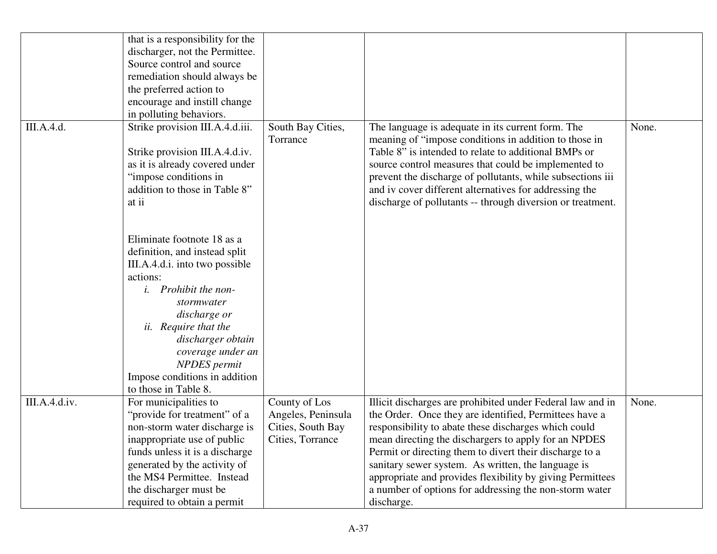|               | that is a responsibility for the<br>discharger, not the Permittee.<br>Source control and source<br>remediation should always be<br>the preferred action to<br>encourage and instill change<br>in polluting behaviors.                                                                                                                                                                                                                                                                              |                                                                              |                                                                                                                                                                                                                                                                                                                                                                                                                                                                                            |       |
|---------------|----------------------------------------------------------------------------------------------------------------------------------------------------------------------------------------------------------------------------------------------------------------------------------------------------------------------------------------------------------------------------------------------------------------------------------------------------------------------------------------------------|------------------------------------------------------------------------------|--------------------------------------------------------------------------------------------------------------------------------------------------------------------------------------------------------------------------------------------------------------------------------------------------------------------------------------------------------------------------------------------------------------------------------------------------------------------------------------------|-------|
| III.A.4.d.    | Strike provision III.A.4.d.iii.<br>Strike provision III.A.4.d.iv.<br>as it is already covered under<br>"impose conditions in<br>addition to those in Table 8"<br>at ii<br>Eliminate footnote 18 as a<br>definition, and instead split<br>III.A.4.d.i. into two possible<br>actions:<br><i>i.</i> Prohibit the non-<br>stormwater<br>discharge or<br>ii. Require that the<br>discharger obtain<br>coverage under an<br><b>NPDES</b> permit<br>Impose conditions in addition<br>to those in Table 8. | South Bay Cities,<br>Torrance                                                | The language is adequate in its current form. The<br>meaning of "impose conditions in addition to those in<br>Table 8" is intended to relate to additional BMPs or<br>source control measures that could be implemented to<br>prevent the discharge of pollutants, while subsections iii<br>and iv cover different alternatives for addressing the<br>discharge of pollutants -- through diversion or treatment.                                                                           | None. |
| III.A.4.d.iv. | For municipalities to<br>"provide for treatment" of a<br>non-storm water discharge is<br>inappropriate use of public<br>funds unless it is a discharge<br>generated by the activity of<br>the MS4 Permittee. Instead<br>the discharger must be<br>required to obtain a permit                                                                                                                                                                                                                      | County of Los<br>Angeles, Peninsula<br>Cities, South Bay<br>Cities, Torrance | Illicit discharges are prohibited under Federal law and in<br>the Order. Once they are identified, Permittees have a<br>responsibility to abate these discharges which could<br>mean directing the dischargers to apply for an NPDES<br>Permit or directing them to divert their discharge to a<br>sanitary sewer system. As written, the language is<br>appropriate and provides flexibility by giving Permittees<br>a number of options for addressing the non-storm water<br>discharge. | None. |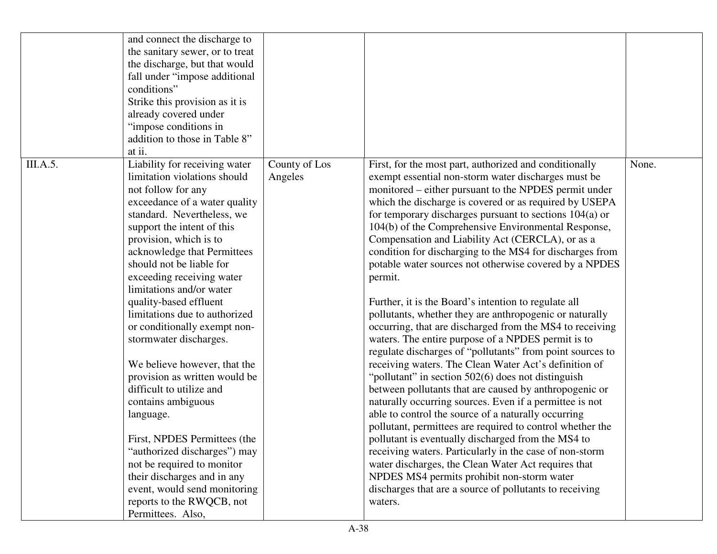|          | and connect the discharge to<br>the sanitary sewer, or to treat<br>the discharge, but that would<br>fall under "impose additional<br>conditions"<br>Strike this provision as it is<br>already covered under<br>"impose conditions in<br>addition to those in Table 8"<br>at ii.                                                                                                                                                                                                                                                                                                                                                                                                                                                                                                                    |                          |                                                                                                                                                                                                                                                                                                                                                                                                                                                                                                                                                                                                                                                                                                                                                                                                                                                                                                                                                                                                                                                                                                                                                                                                                                                                                                                                                                                                                                                                                                 |       |
|----------|----------------------------------------------------------------------------------------------------------------------------------------------------------------------------------------------------------------------------------------------------------------------------------------------------------------------------------------------------------------------------------------------------------------------------------------------------------------------------------------------------------------------------------------------------------------------------------------------------------------------------------------------------------------------------------------------------------------------------------------------------------------------------------------------------|--------------------------|-------------------------------------------------------------------------------------------------------------------------------------------------------------------------------------------------------------------------------------------------------------------------------------------------------------------------------------------------------------------------------------------------------------------------------------------------------------------------------------------------------------------------------------------------------------------------------------------------------------------------------------------------------------------------------------------------------------------------------------------------------------------------------------------------------------------------------------------------------------------------------------------------------------------------------------------------------------------------------------------------------------------------------------------------------------------------------------------------------------------------------------------------------------------------------------------------------------------------------------------------------------------------------------------------------------------------------------------------------------------------------------------------------------------------------------------------------------------------------------------------|-------|
| III.A.5. | Liability for receiving water<br>limitation violations should<br>not follow for any<br>exceedance of a water quality<br>standard. Nevertheless, we<br>support the intent of this<br>provision, which is to<br>acknowledge that Permittees<br>should not be liable for<br>exceeding receiving water<br>limitations and/or water<br>quality-based effluent<br>limitations due to authorized<br>or conditionally exempt non-<br>stormwater discharges.<br>We believe however, that the<br>provision as written would be<br>difficult to utilize and<br>contains ambiguous<br>language.<br>First, NPDES Permittees (the<br>"authorized discharges") may<br>not be required to monitor<br>their discharges and in any<br>event, would send monitoring<br>reports to the RWQCB, not<br>Permittees. Also, | County of Los<br>Angeles | First, for the most part, authorized and conditionally<br>exempt essential non-storm water discharges must be<br>monitored – either pursuant to the NPDES permit under<br>which the discharge is covered or as required by USEPA<br>for temporary discharges pursuant to sections $104(a)$ or<br>104(b) of the Comprehensive Environmental Response,<br>Compensation and Liability Act (CERCLA), or as a<br>condition for discharging to the MS4 for discharges from<br>potable water sources not otherwise covered by a NPDES<br>permit.<br>Further, it is the Board's intention to regulate all<br>pollutants, whether they are anthropogenic or naturally<br>occurring, that are discharged from the MS4 to receiving<br>waters. The entire purpose of a NPDES permit is to<br>regulate discharges of "pollutants" from point sources to<br>receiving waters. The Clean Water Act's definition of<br>"pollutant" in section 502(6) does not distinguish<br>between pollutants that are caused by anthropogenic or<br>naturally occurring sources. Even if a permittee is not<br>able to control the source of a naturally occurring<br>pollutant, permittees are required to control whether the<br>pollutant is eventually discharged from the MS4 to<br>receiving waters. Particularly in the case of non-storm<br>water discharges, the Clean Water Act requires that<br>NPDES MS4 permits prohibit non-storm water<br>discharges that are a source of pollutants to receiving<br>waters. | None. |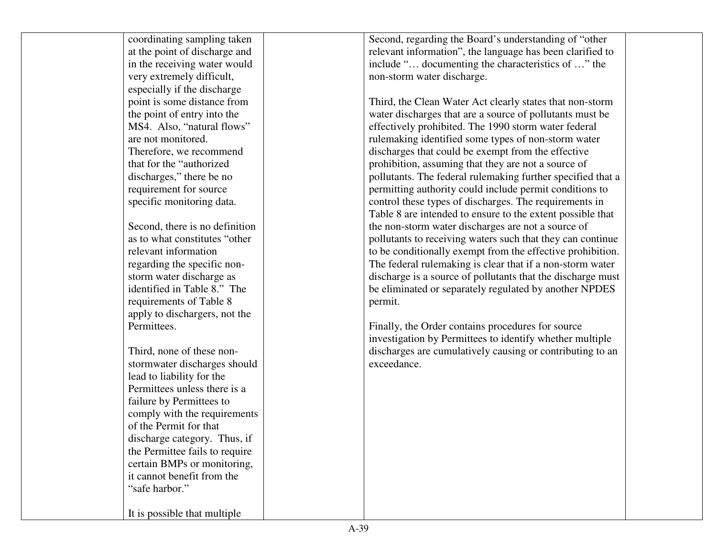| coordinating sampling taken    | Second, regarding the Board's understanding of "other       |  |
|--------------------------------|-------------------------------------------------------------|--|
| at the point of discharge and  | relevant information", the language has been clarified to   |  |
| in the receiving water would   | include " documenting the characteristics of " the          |  |
| very extremely difficult,      | non-storm water discharge.                                  |  |
| especially if the discharge    |                                                             |  |
| point is some distance from    | Third, the Clean Water Act clearly states that non-storm    |  |
| the point of entry into the    | water discharges that are a source of pollutants must be    |  |
| MS4. Also, "natural flows"     | effectively prohibited. The 1990 storm water federal        |  |
| are not monitored.             | rulemaking identified some types of non-storm water         |  |
| Therefore, we recommend        | discharges that could be exempt from the effective          |  |
| that for the "authorized"      | prohibition, assuming that they are not a source of         |  |
| discharges," there be no       | pollutants. The federal rulemaking further specified that a |  |
| requirement for source         | permitting authority could include permit conditions to     |  |
| specific monitoring data.      | control these types of discharges. The requirements in      |  |
|                                | Table 8 are intended to ensure to the extent possible that  |  |
| Second, there is no definition | the non-storm water discharges are not a source of          |  |
| as to what constitutes "other  | pollutants to receiving waters such that they can continue  |  |
| relevant information           | to be conditionally exempt from the effective prohibition.  |  |
| regarding the specific non-    | The federal rulemaking is clear that if a non-storm water   |  |
| storm water discharge as       | discharge is a source of pollutants that the discharge must |  |
| identified in Table 8." The    | be eliminated or separately regulated by another NPDES      |  |
| requirements of Table 8        | permit.                                                     |  |
| apply to dischargers, not the  |                                                             |  |
| Permittees.                    | Finally, the Order contains procedures for source           |  |
|                                | investigation by Permittees to identify whether multiple    |  |
| Third, none of these non-      | discharges are cumulatively causing or contributing to an   |  |
| stormwater discharges should   | exceedance.                                                 |  |
| lead to liability for the      |                                                             |  |
| Permittees unless there is a   |                                                             |  |
| failure by Permittees to       |                                                             |  |
| comply with the requirements   |                                                             |  |
| of the Permit for that         |                                                             |  |
| discharge category. Thus, if   |                                                             |  |
| the Permittee fails to require |                                                             |  |
| certain BMPs or monitoring,    |                                                             |  |
| it cannot benefit from the     |                                                             |  |
| "safe harbor."                 |                                                             |  |
|                                |                                                             |  |
| It is possible that multiple   |                                                             |  |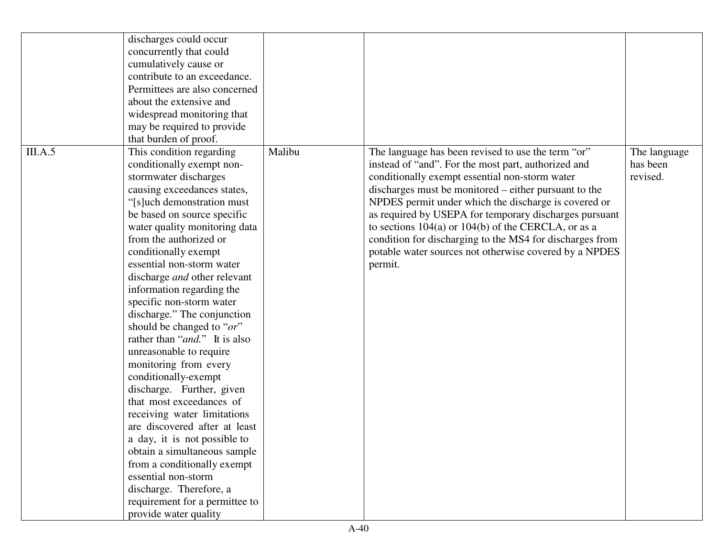| discharges could occur                 |        |                                                          |              |
|----------------------------------------|--------|----------------------------------------------------------|--------------|
| concurrently that could                |        |                                                          |              |
| cumulatively cause or                  |        |                                                          |              |
| contribute to an exceedance.           |        |                                                          |              |
| Permittees are also concerned          |        |                                                          |              |
| about the extensive and                |        |                                                          |              |
| widespread monitoring that             |        |                                                          |              |
| may be required to provide             |        |                                                          |              |
| that burden of proof.                  |        |                                                          |              |
| III.A.5<br>This condition regarding    | Malibu | The language has been revised to use the term "or"       | The language |
| conditionally exempt non-              |        | instead of "and". For the most part, authorized and      | has been     |
| stormwater discharges                  |        | conditionally exempt essential non-storm water           | revised.     |
| causing exceedances states,            |        | discharges must be monitored – either pursuant to the    |              |
| "[s]uch demonstration must             |        | NPDES permit under which the discharge is covered or     |              |
| be based on source specific            |        | as required by USEPA for temporary discharges pursuant   |              |
| water quality monitoring data          |        | to sections 104(a) or 104(b) of the CERCLA, or as a      |              |
| from the authorized or                 |        | condition for discharging to the MS4 for discharges from |              |
| conditionally exempt                   |        | potable water sources not otherwise covered by a NPDES   |              |
| essential non-storm water              |        | permit.                                                  |              |
| discharge <i>and</i> other relevant    |        |                                                          |              |
| information regarding the              |        |                                                          |              |
| specific non-storm water               |        |                                                          |              |
| discharge." The conjunction            |        |                                                          |              |
| should be changed to " $or$ "          |        |                                                          |              |
| rather than " <i>and</i> ." It is also |        |                                                          |              |
| unreasonable to require                |        |                                                          |              |
| monitoring from every                  |        |                                                          |              |
| conditionally-exempt                   |        |                                                          |              |
| discharge. Further, given              |        |                                                          |              |
| that most exceedances of               |        |                                                          |              |
| receiving water limitations            |        |                                                          |              |
| are discovered after at least          |        |                                                          |              |
| a day, it is not possible to           |        |                                                          |              |
| obtain a simultaneous sample           |        |                                                          |              |
| from a conditionally exempt            |        |                                                          |              |
| essential non-storm                    |        |                                                          |              |
| discharge. Therefore, a                |        |                                                          |              |
| requirement for a permittee to         |        |                                                          |              |
| provide water quality                  |        |                                                          |              |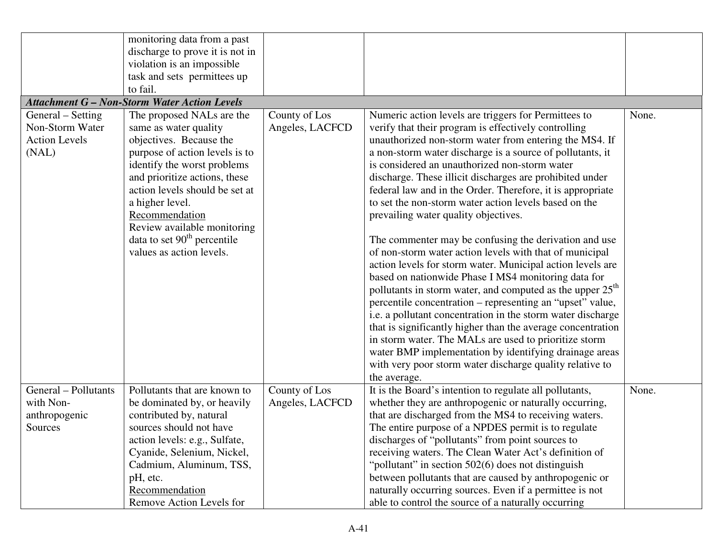|                                                                       | monitoring data from a past<br>discharge to prove it is not in<br>violation is an impossible<br>task and sets permittees up<br>to fail.                                                                                                                                                                                                            |                                  |                                                                                                                                                                                                                                                                                                                                                                                                                                                                                                                                                                                                                                                                                                                                                                                                                                                                                                                                                                                                                                                                                                                                                                                                                             |       |
|-----------------------------------------------------------------------|----------------------------------------------------------------------------------------------------------------------------------------------------------------------------------------------------------------------------------------------------------------------------------------------------------------------------------------------------|----------------------------------|-----------------------------------------------------------------------------------------------------------------------------------------------------------------------------------------------------------------------------------------------------------------------------------------------------------------------------------------------------------------------------------------------------------------------------------------------------------------------------------------------------------------------------------------------------------------------------------------------------------------------------------------------------------------------------------------------------------------------------------------------------------------------------------------------------------------------------------------------------------------------------------------------------------------------------------------------------------------------------------------------------------------------------------------------------------------------------------------------------------------------------------------------------------------------------------------------------------------------------|-------|
|                                                                       | <b>Attachment G - Non-Storm Water Action Levels</b>                                                                                                                                                                                                                                                                                                |                                  |                                                                                                                                                                                                                                                                                                                                                                                                                                                                                                                                                                                                                                                                                                                                                                                                                                                                                                                                                                                                                                                                                                                                                                                                                             |       |
| General – Setting<br>Non-Storm Water<br><b>Action Levels</b><br>(NAL) | The proposed NALs are the<br>same as water quality<br>objectives. Because the<br>purpose of action levels is to<br>identify the worst problems<br>and prioritize actions, these<br>action levels should be set at<br>a higher level.<br>Recommendation<br>Review available monitoring<br>data to set $90th$ percentile<br>values as action levels. | County of Los<br>Angeles, LACFCD | Numeric action levels are triggers for Permittees to<br>verify that their program is effectively controlling<br>unauthorized non-storm water from entering the MS4. If<br>a non-storm water discharge is a source of pollutants, it<br>is considered an unauthorized non-storm water<br>discharge. These illicit discharges are prohibited under<br>federal law and in the Order. Therefore, it is appropriate<br>to set the non-storm water action levels based on the<br>prevailing water quality objectives.<br>The commenter may be confusing the derivation and use<br>of non-storm water action levels with that of municipal<br>action levels for storm water. Municipal action levels are<br>based on nationwide Phase I MS4 monitoring data for<br>pollutants in storm water, and computed as the upper 25 <sup>th</sup><br>percentile concentration - representing an "upset" value,<br>i.e. a pollutant concentration in the storm water discharge<br>that is significantly higher than the average concentration<br>in storm water. The MALs are used to prioritize storm<br>water BMP implementation by identifying drainage areas<br>with very poor storm water discharge quality relative to<br>the average. | None. |
| General - Pollutants<br>with Non-                                     | Pollutants that are known to<br>be dominated by, or heavily                                                                                                                                                                                                                                                                                        | County of Los<br>Angeles, LACFCD | It is the Board's intention to regulate all pollutants,<br>whether they are anthropogenic or naturally occurring,                                                                                                                                                                                                                                                                                                                                                                                                                                                                                                                                                                                                                                                                                                                                                                                                                                                                                                                                                                                                                                                                                                           | None. |
| anthropogenic                                                         | contributed by, natural                                                                                                                                                                                                                                                                                                                            |                                  | that are discharged from the MS4 to receiving waters.                                                                                                                                                                                                                                                                                                                                                                                                                                                                                                                                                                                                                                                                                                                                                                                                                                                                                                                                                                                                                                                                                                                                                                       |       |
| Sources                                                               | sources should not have                                                                                                                                                                                                                                                                                                                            |                                  | The entire purpose of a NPDES permit is to regulate                                                                                                                                                                                                                                                                                                                                                                                                                                                                                                                                                                                                                                                                                                                                                                                                                                                                                                                                                                                                                                                                                                                                                                         |       |
|                                                                       | action levels: e.g., Sulfate,                                                                                                                                                                                                                                                                                                                      |                                  | discharges of "pollutants" from point sources to                                                                                                                                                                                                                                                                                                                                                                                                                                                                                                                                                                                                                                                                                                                                                                                                                                                                                                                                                                                                                                                                                                                                                                            |       |
|                                                                       | Cyanide, Selenium, Nickel,<br>Cadmium, Aluminum, TSS,                                                                                                                                                                                                                                                                                              |                                  | receiving waters. The Clean Water Act's definition of<br>"pollutant" in section 502(6) does not distinguish                                                                                                                                                                                                                                                                                                                                                                                                                                                                                                                                                                                                                                                                                                                                                                                                                                                                                                                                                                                                                                                                                                                 |       |
|                                                                       | pH, etc.                                                                                                                                                                                                                                                                                                                                           |                                  | between pollutants that are caused by anthropogenic or                                                                                                                                                                                                                                                                                                                                                                                                                                                                                                                                                                                                                                                                                                                                                                                                                                                                                                                                                                                                                                                                                                                                                                      |       |
|                                                                       | Recommendation                                                                                                                                                                                                                                                                                                                                     |                                  | naturally occurring sources. Even if a permittee is not                                                                                                                                                                                                                                                                                                                                                                                                                                                                                                                                                                                                                                                                                                                                                                                                                                                                                                                                                                                                                                                                                                                                                                     |       |
|                                                                       | Remove Action Levels for                                                                                                                                                                                                                                                                                                                           |                                  | able to control the source of a naturally occurring                                                                                                                                                                                                                                                                                                                                                                                                                                                                                                                                                                                                                                                                                                                                                                                                                                                                                                                                                                                                                                                                                                                                                                         |       |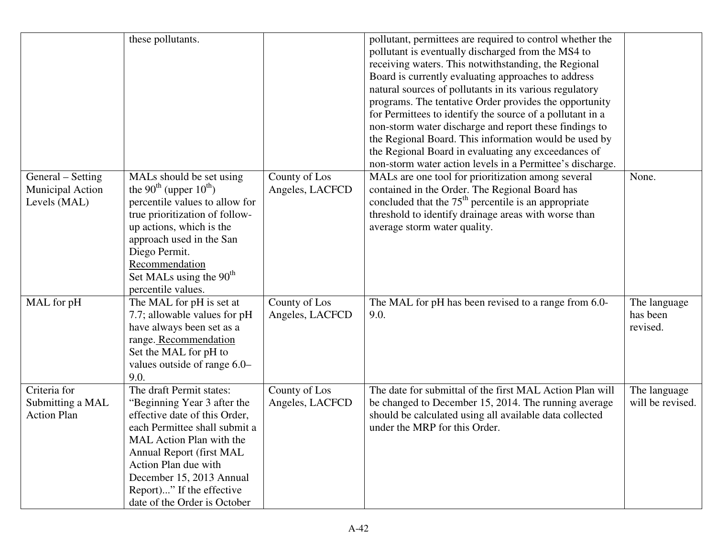|                                                              | these pollutants.                                                                                                                                                                                                                                                                                  |                                  | pollutant, permittees are required to control whether the<br>pollutant is eventually discharged from the MS4 to<br>receiving waters. This notwithstanding, the Regional<br>Board is currently evaluating approaches to address<br>natural sources of pollutants in its various regulatory<br>programs. The tentative Order provides the opportunity<br>for Permittees to identify the source of a pollutant in a<br>non-storm water discharge and report these findings to<br>the Regional Board. This information would be used by<br>the Regional Board in evaluating any exceedances of<br>non-storm water action levels in a Permittee's discharge. |                                      |
|--------------------------------------------------------------|----------------------------------------------------------------------------------------------------------------------------------------------------------------------------------------------------------------------------------------------------------------------------------------------------|----------------------------------|---------------------------------------------------------------------------------------------------------------------------------------------------------------------------------------------------------------------------------------------------------------------------------------------------------------------------------------------------------------------------------------------------------------------------------------------------------------------------------------------------------------------------------------------------------------------------------------------------------------------------------------------------------|--------------------------------------|
| General – Setting<br><b>Municipal Action</b><br>Levels (MAL) | MALs should be set using<br>the 90 <sup>th</sup> (upper $10^{th}$ )<br>percentile values to allow for<br>true prioritization of follow-<br>up actions, which is the<br>approach used in the San<br>Diego Permit.<br>Recommendation<br>Set MALs using the 90 <sup>th</sup><br>percentile values.    | County of Los<br>Angeles, LACFCD | MALs are one tool for prioritization among several<br>contained in the Order. The Regional Board has<br>concluded that the $75th$ percentile is an appropriate<br>threshold to identify drainage areas with worse than<br>average storm water quality.                                                                                                                                                                                                                                                                                                                                                                                                  | None.                                |
| MAL for pH                                                   | The MAL for pH is set at<br>7.7; allowable values for pH<br>have always been set as a<br>range. Recommendation<br>Set the MAL for pH to<br>values outside of range 6.0–<br>9.0.                                                                                                                    | County of Los<br>Angeles, LACFCD | The MAL for pH has been revised to a range from 6.0-<br>9.0.                                                                                                                                                                                                                                                                                                                                                                                                                                                                                                                                                                                            | The language<br>has been<br>revised. |
| Criteria for<br>Submitting a MAL<br><b>Action Plan</b>       | The draft Permit states:<br>"Beginning Year 3 after the<br>effective date of this Order,<br>each Permittee shall submit a<br>MAL Action Plan with the<br>Annual Report (first MAL<br>Action Plan due with<br>December 15, 2013 Annual<br>Report)" If the effective<br>date of the Order is October | County of Los<br>Angeles, LACFCD | The date for submittal of the first MAL Action Plan will<br>be changed to December 15, 2014. The running average<br>should be calculated using all available data collected<br>under the MRP for this Order.                                                                                                                                                                                                                                                                                                                                                                                                                                            | The language<br>will be revised.     |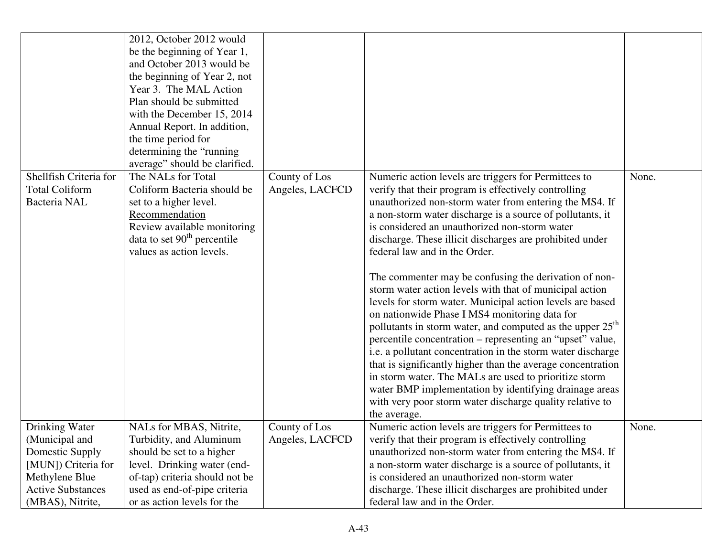|                          | 2012, October 2012 would                                      |                 |                                                                       |       |
|--------------------------|---------------------------------------------------------------|-----------------|-----------------------------------------------------------------------|-------|
|                          | be the beginning of Year 1,                                   |                 |                                                                       |       |
|                          | and October 2013 would be                                     |                 |                                                                       |       |
|                          | the beginning of Year 2, not                                  |                 |                                                                       |       |
|                          | Year 3. The MAL Action                                        |                 |                                                                       |       |
|                          | Plan should be submitted                                      |                 |                                                                       |       |
|                          | with the December 15, 2014                                    |                 |                                                                       |       |
|                          | Annual Report. In addition,                                   |                 |                                                                       |       |
|                          | the time period for                                           |                 |                                                                       |       |
|                          | determining the "running                                      |                 |                                                                       |       |
|                          | average" should be clarified.                                 |                 |                                                                       |       |
| Shellfish Criteria for   | The NALs for Total                                            | County of Los   | Numeric action levels are triggers for Permittees to                  | None. |
| <b>Total Coliform</b>    | Coliform Bacteria should be                                   | Angeles, LACFCD | verify that their program is effectively controlling                  |       |
| Bacteria NAL             | set to a higher level.                                        |                 | unauthorized non-storm water from entering the MS4. If                |       |
|                          | Recommendation                                                |                 | a non-storm water discharge is a source of pollutants, it             |       |
|                          | Review available monitoring                                   |                 | is considered an unauthorized non-storm water                         |       |
|                          | data to set $90th$ percentile                                 |                 | discharge. These illicit discharges are prohibited under              |       |
|                          | values as action levels.                                      |                 | federal law and in the Order.                                         |       |
|                          |                                                               |                 |                                                                       |       |
|                          |                                                               |                 | The commenter may be confusing the derivation of non-                 |       |
|                          |                                                               |                 | storm water action levels with that of municipal action               |       |
|                          |                                                               |                 | levels for storm water. Municipal action levels are based             |       |
|                          |                                                               |                 | on nationwide Phase I MS4 monitoring data for                         |       |
|                          |                                                               |                 | pollutants in storm water, and computed as the upper 25 <sup>th</sup> |       |
|                          |                                                               |                 | percentile concentration – representing an "upset" value,             |       |
|                          |                                                               |                 | i.e. a pollutant concentration in the storm water discharge           |       |
|                          |                                                               |                 | that is significantly higher than the average concentration           |       |
|                          |                                                               |                 | in storm water. The MALs are used to prioritize storm                 |       |
|                          |                                                               |                 | water BMP implementation by identifying drainage areas                |       |
|                          |                                                               |                 | with very poor storm water discharge quality relative to              |       |
|                          |                                                               |                 | the average.                                                          |       |
| Drinking Water           | NALs for MBAS, Nitrite,                                       | County of Los   | Numeric action levels are triggers for Permittees to                  | None. |
| (Municipal and           | Turbidity, and Aluminum                                       | Angeles, LACFCD | verify that their program is effectively controlling                  |       |
| <b>Domestic Supply</b>   | should be set to a higher                                     |                 | unauthorized non-storm water from entering the MS4. If                |       |
| [MUN]) Criteria for      |                                                               |                 | a non-storm water discharge is a source of pollutants, it             |       |
| Methylene Blue           | level. Drinking water (end-<br>of-tap) criteria should not be |                 | is considered an unauthorized non-storm water                         |       |
| <b>Active Substances</b> | used as end-of-pipe criteria                                  |                 | discharge. These illicit discharges are prohibited under              |       |
|                          |                                                               |                 |                                                                       |       |
| (MBAS), Nitrite,         | or as action levels for the                                   |                 | federal law and in the Order.                                         |       |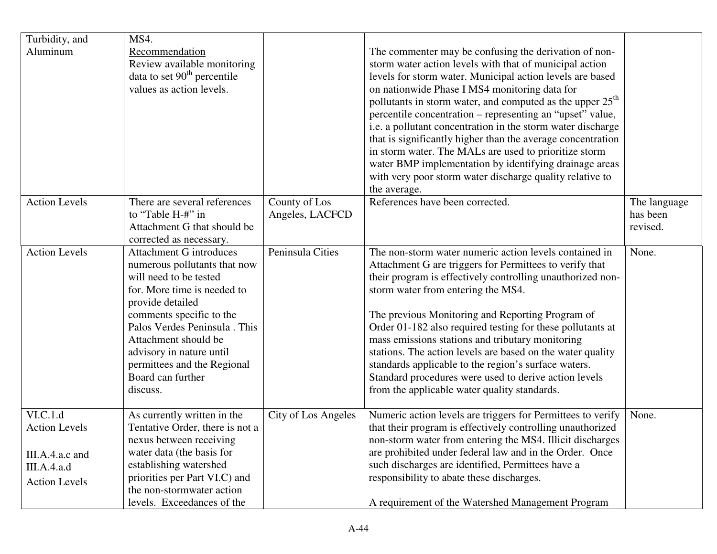| Turbidity, and                                                                             | MS4.                                                                                                                                                                                                                                                                                                                         |                                  |                                                                                                                                                                                                                                                                                                                                                                                                                                                                                                                                                                                                                            |                                      |
|--------------------------------------------------------------------------------------------|------------------------------------------------------------------------------------------------------------------------------------------------------------------------------------------------------------------------------------------------------------------------------------------------------------------------------|----------------------------------|----------------------------------------------------------------------------------------------------------------------------------------------------------------------------------------------------------------------------------------------------------------------------------------------------------------------------------------------------------------------------------------------------------------------------------------------------------------------------------------------------------------------------------------------------------------------------------------------------------------------------|--------------------------------------|
| Aluminum                                                                                   | Recommendation<br>Review available monitoring<br>data to set $90th$ percentile<br>values as action levels.                                                                                                                                                                                                                   |                                  | The commenter may be confusing the derivation of non-<br>storm water action levels with that of municipal action<br>levels for storm water. Municipal action levels are based<br>on nationwide Phase I MS4 monitoring data for<br>pollutants in storm water, and computed as the upper 25 <sup>th</sup><br>percentile concentration – representing an "upset" value,                                                                                                                                                                                                                                                       |                                      |
|                                                                                            |                                                                                                                                                                                                                                                                                                                              |                                  | i.e. a pollutant concentration in the storm water discharge<br>that is significantly higher than the average concentration<br>in storm water. The MALs are used to prioritize storm<br>water BMP implementation by identifying drainage areas<br>with very poor storm water discharge quality relative to<br>the average.                                                                                                                                                                                                                                                                                                  |                                      |
| <b>Action Levels</b>                                                                       | There are several references<br>to "Table H-#" in<br>Attachment G that should be<br>corrected as necessary.                                                                                                                                                                                                                  | County of Los<br>Angeles, LACFCD | References have been corrected.                                                                                                                                                                                                                                                                                                                                                                                                                                                                                                                                                                                            | The language<br>has been<br>revised. |
| <b>Action Levels</b>                                                                       | <b>Attachment G introduces</b><br>numerous pollutants that now<br>will need to be tested<br>for. More time is needed to<br>provide detailed<br>comments specific to the<br>Palos Verdes Peninsula . This<br>Attachment should be<br>advisory in nature until<br>permittees and the Regional<br>Board can further<br>discuss. | Peninsula Cities                 | The non-storm water numeric action levels contained in<br>Attachment G are triggers for Permittees to verify that<br>their program is effectively controlling unauthorized non-<br>storm water from entering the MS4.<br>The previous Monitoring and Reporting Program of<br>Order 01-182 also required testing for these pollutants at<br>mass emissions stations and tributary monitoring<br>stations. The action levels are based on the water quality<br>standards applicable to the region's surface waters.<br>Standard procedures were used to derive action levels<br>from the applicable water quality standards. | None.                                |
| VI.C.1.d<br><b>Action Levels</b><br>III.A.4.a.c and<br>III.A.4.a.d<br><b>Action Levels</b> | As currently written in the<br>Tentative Order, there is not a<br>nexus between receiving<br>water data (the basis for<br>establishing watershed<br>priorities per Part VI.C) and<br>the non-stormwater action<br>levels. Exceedances of the                                                                                 | City of Los Angeles              | Numeric action levels are triggers for Permittees to verify<br>that their program is effectively controlling unauthorized<br>non-storm water from entering the MS4. Illicit discharges<br>are prohibited under federal law and in the Order. Once<br>such discharges are identified, Permittees have a<br>responsibility to abate these discharges.<br>A requirement of the Watershed Management Program                                                                                                                                                                                                                   | None.                                |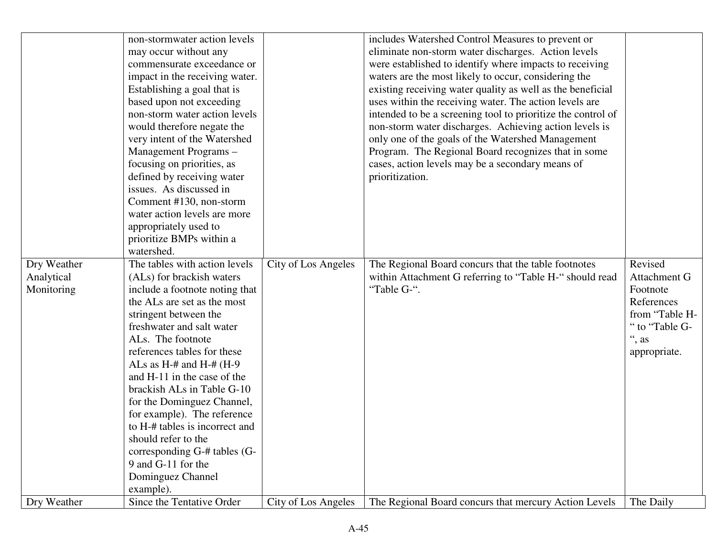| non-stormwater action levels<br>includes Watershed Control Measures to prevent or                                          |                |
|----------------------------------------------------------------------------------------------------------------------------|----------------|
| eliminate non-storm water discharges. Action levels<br>may occur without any                                               |                |
| were established to identify where impacts to receiving<br>commensurate exceedance or                                      |                |
| waters are the most likely to occur, considering the<br>impact in the receiving water.                                     |                |
| existing receiving water quality as well as the beneficial<br>Establishing a goal that is                                  |                |
| based upon not exceeding<br>uses within the receiving water. The action levels are                                         |                |
| non-storm water action levels<br>intended to be a screening tool to prioritize the control of                              |                |
| non-storm water discharges. Achieving action levels is<br>would therefore negate the                                       |                |
| only one of the goals of the Watershed Management<br>very intent of the Watershed                                          |                |
| Program. The Regional Board recognizes that in some<br>Management Programs-                                                |                |
| focusing on priorities, as<br>cases, action levels may be a secondary means of                                             |                |
| defined by receiving water<br>prioritization.                                                                              |                |
| issues. As discussed in                                                                                                    |                |
| Comment #130, non-storm                                                                                                    |                |
| water action levels are more                                                                                               |                |
| appropriately used to                                                                                                      |                |
| prioritize BMPs within a                                                                                                   |                |
| watershed.                                                                                                                 |                |
| The tables with action levels<br>City of Los Angeles<br>Dry Weather<br>The Regional Board concurs that the table footnotes | Revised        |
| Analytical<br>(ALs) for brackish waters<br>within Attachment G referring to "Table H-" should read                         | Attachment G   |
| "Table G-".<br>include a footnote noting that<br>Monitoring                                                                | Footnote       |
| the ALs are set as the most                                                                                                | References     |
| stringent between the                                                                                                      | from "Table H- |
| freshwater and salt water                                                                                                  | " to "Table G- |
| ALs. The footnote                                                                                                          | ", as          |
| references tables for these                                                                                                | appropriate.   |
| ALs as $H$ -# and $H$ -# ( $H$ -9                                                                                          |                |
| and H-11 in the case of the                                                                                                |                |
| brackish ALs in Table G-10                                                                                                 |                |
| for the Dominguez Channel,                                                                                                 |                |
| for example). The reference                                                                                                |                |
| to H-# tables is incorrect and                                                                                             |                |
| should refer to the                                                                                                        |                |
| corresponding G-# tables (G-                                                                                               |                |
| 9 and G-11 for the                                                                                                         |                |
| Dominguez Channel                                                                                                          |                |
| example).                                                                                                                  |                |
|                                                                                                                            |                |